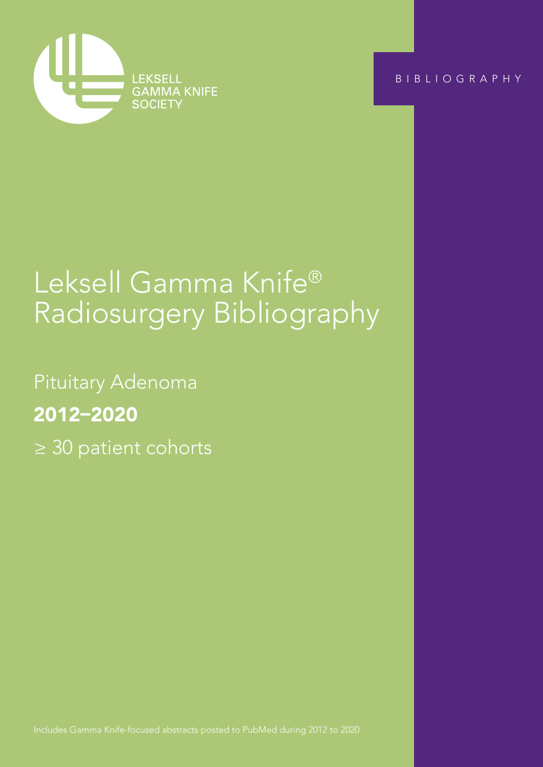

BIBLIOGRAPHY

Pituitary Adenoma ≥ 30 patient cohorts

# Leksell Gamma Knife® Radiosurgery Bibliography

Pituitary Adenoma 2012–2020 ≥ 30 patient cohorts

Includes Gamma Knife-focused abstracts posted to PubMed during 2012 to 2020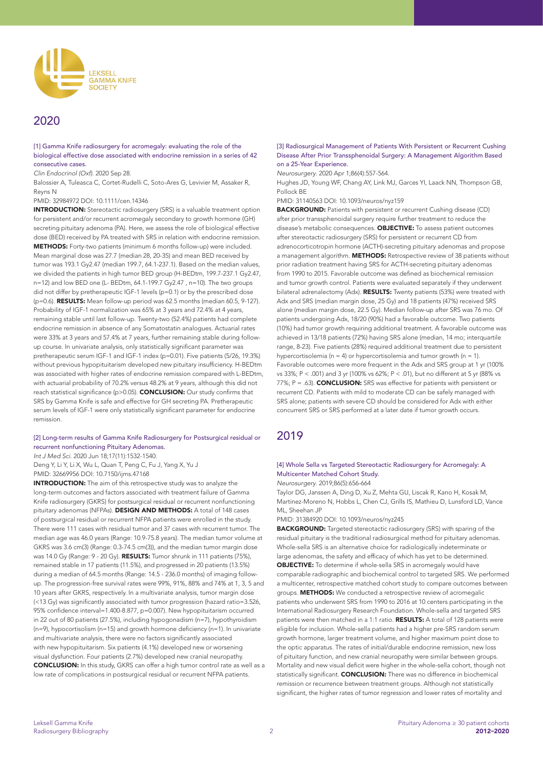

# 2020

[1] Gamma Knife radiosurgery for acromegaly: evaluating the role of the biological effective dose associated with endocrine remission in a series of 42 consecutive cases.

*Clin Endocrinol (Oxf)*. 2020 Sep 28.

Balossier A, Tuleasca C, Cortet-Rudelli C, Soto-Ares G, Levivier M, Assaker R, Reyns N

# PMID: 32984972 DOI: 10.1111/cen.14346

**INTRODUCTION:** Stereotactic radiosurgery (SRS) is a valuable treatment option for persistent and/or recurrent acromegaly secondary to growth hormone (GH) secreting pituitary adenoma (PA). Here, we assess the role of biological effective dose (BED) received by PA treated with SRS in relation with endocrine remission. METHODS: Forty-two patients (minimum 6 months follow-up) were included. Mean marginal dose was 27.7 (median 28, 20-35) and mean BED received by tumor was 193.1 Gy2.47 (median 199.7, 64.1-237.1). Based on the median values, we divided the patients in high tumor BED group (H-BEDtm, 199.7-237.1 Gy2.47, n=12) and low BED one (L- BEDtm, 64.1-199.7 Gy2.47 , n=10). The two groups did not differ by pretherapeutic IGF-1 levels (p=0.1) or by the prescribed dose (p=0.6). RESULTS: Mean follow-up period was 62.5 months (median 60.5, 9-127). Probability of IGF-1 normalization was 65% at 3 years and 72.4% at 4 years, remaining stable until last follow-up. Twenty-two (52.4%) patients had complete endocrine remission in absence of any Somatostatin analogues. Actuarial rates were 33% at 3 years and 57.4% at 7 years, further remaining stable during followup course. In univariate analysis, only statistically significant parameter was pretherapeutic serum IGF-1 and IGF-1 index (p=0.01). Five patients (5/26, 19.3%) without previous hypopituitarism developed new pituitary insufficiency. H-BEDtm was associated with higher rates of endocrine remission compared with L-BEDtm, with actuarial probability of 70.2% versus 48.2% at 9 years, although this did not reach statistical significance (p>0.05). **CONCLUSION:** Our study confirms that SRS by Gamma Knife is safe and effective for GH secreting PA. Pretherapeutic serum levels of IGF-1 were only statistically significant parameter for endocrine remission.

# [2] Long-term results of Gamma Knife Radiosurgery for Postsurgical residual or recurrent nonfunctioning Pituitary Adenomas.

*Int J Med Sci*. 2020 Jun 18;17(11):1532-1540. Deng Y, Li Y, Li X, Wu L, Quan T, Peng C, Fu J, Yang X, Yu J PMID: 32669956 DOI: 10.7150/ijms.47168

**INTRODUCTION:** The aim of this retrospective study was to analyze the long-term outcomes and factors associated with treatment failure of Gamma Knife radiosurgery (GKRS) for postsurgical residual or recurrent nonfunctioning pituitary adenomas (NFPAs). DESIGN AND METHODS: A total of 148 cases of postsurgical residual or recurrent NFPA patients were enrolled in the study. There were 111 cases with residual tumor and 37 cases with recurrent tumor. The median age was 46.0 years (Range: 10.9-75.8 years). The median tumor volume at GKRS was 3.6 cm(3) (Range: 0.3-74.5 cm(3)), and the median tumor margin dose was 14.0 Gy (Range: 9 - 20 Gy). RESULTS: Tumor shrunk in 111 patients (75%), remained stable in 17 patients (11.5%), and progressed in 20 patients (13.5%) during a median of 64.5 months (Range: 14.5 - 236.0 months) of imaging followup. The progression-free survival rates were 99%, 91%, 88% and 74% at 1, 3, 5 and 10 years after GKRS, respectively. In a multivariate analysis, tumor margin dose (<13 Gy) was significantly associated with tumor progression (hazard ratio=3.526, 95% confidence interval=1.400-8.877, p=0.007). New hypopituitarism occurred in 22 out of 80 patients (27.5%), including hypogonadism (n=7), hypothyroidism (n=9), hypocortisolism (n=15) and growth hormone deficiency (n=1). In univariate and multivariate analysis, there were no factors significantly associated with new hypopituitarism. Six patients (4.1%) developed new or worsening visual dysfunction. Four patients (2.7%) developed new cranial neuropathy. CONCLUSION: In this study, GKRS can offer a high tumor control rate as well as a low rate of complications in postsurgical residual or recurrent NFPA patients.

### [3] Radiosurgical Management of Patients With Persistent or Recurrent Cushing Disease After Prior Transsphenoidal Surgery: A Management Algorithm Based on a 25-Year Experience.

*Neurosurgery*. 2020 Apr 1;86(4):557-564.

Hughes JD, Young WF, Chang AY, Link MJ, Garces YI, Laack NN, Thompson GB, Pollock BE

PMID: 31140563 DOI: 10.1093/neuros/nyz159

BACKGROUND: Patients with persistent or recurrent Cushing disease (CD) after prior transsphenoidal surgery require further treatment to reduce the disease's metabolic consequences. **OBJECTIVE:** To assess patient outcomes after stereotactic radiosurgery (SRS) for persistent or recurrent CD from adrenocorticotropin hormone (ACTH)-secreting pituitary adenomas and propose a management algorithm. **METHODS:** Retrospective review of 38 patients without prior radiation treatment having SRS for ACTH-secreting pituitary adenomas from 1990 to 2015. Favorable outcome was defined as biochemical remission and tumor growth control. Patients were evaluated separately if they underwent bilateral adrenalectomy (Adx). RESULTS: Twenty patients (53%) were treated with Adx and SRS (median margin dose, 25 Gy) and 18 patients (47%) received SRS alone (median margin dose, 22.5 Gy). Median follow-up after SRS was 76 mo. Of patients undergoing Adx, 18/20 (90%) had a favorable outcome. Two patients (10%) had tumor growth requiring additional treatment. A favorable outcome was achieved in 13/18 patients (72%) having SRS alone (median, 14 mo; interquartile range, 8-23). Five patients (28%) required additional treatment due to persistent hypercortisolemia ( $n = 4$ ) or hypercortisolemia and tumor growth ( $n = 1$ ). Favorable outcomes were more frequent in the Adx and SRS group at 1 yr (100% vs 33%; P < .001) and 3 yr (100% vs 62%; P < .01), but no different at 5 yr (88% vs 77%; P = .63). **CONCLUSION:** SRS was effective for patients with persistent or recurrent CD. Patients with mild to moderate CD can be safely managed with SRS alone; patients with severe CD should be considered for Adx with either concurrent SRS or SRS performed at a later date if tumor growth occurs.

# 2019

# [4] Whole Sella vs Targeted Stereotactic Radiosurgery for Acromegaly: A Multicenter Matched Cohort Study.

*Neurosurgery*. 2019;86(5):656-664

Taylor DG, Janssen A, Ding D, Xu Z, Mehta GU, Liscak R, Kano H, Kosak M, Martinez-Moreno N, Hobbs L, Chen CJ, Grills IS, Mathieu D, Lunsford LD, Vance ML, Sheehan JP

PMID: 31384920 DOI: 10.1093/neuros/nyz245

BACKGROUND: Targeted stereotactic radiosurgery (SRS) with sparing of the residual pituitary is the traditional radiosurgical method for pituitary adenomas. Whole-sella SRS is an alternative choice for radiologically indeterminate or large adenomas, the safety and efficacy of which has yet to be determined. OBJECTIVE: To determine if whole-sella SRS in acromegaly would have comparable radiographic and biochemical control to targeted SRS. We performed a multicenter, retrospective matched cohort study to compare outcomes between groups. METHODS: We conducted a retrospective review of acromegalic patients who underwent SRS from 1990 to 2016 at 10 centers participating in the International Radiosurgery Research Foundation. Whole-sella and targeted SRS patients were then matched in a 1:1 ratio. RESULTS: A total of 128 patients were eligible for inclusion. Whole-sella patients had a higher pre-SRS random serum growth hormone, larger treatment volume, and higher maximum point dose to the optic apparatus. The rates of initial/durable endocrine remission, new loss of pituitary function, and new cranial neuropathy were similar between groups. Mortality and new visual deficit were higher in the whole-sella cohort, though not statistically significant. **CONCLUSION:** There was no difference in biochemical remission or recurrence between treatment groups. Although not statistically significant, the higher rates of tumor regression and lower rates of mortality and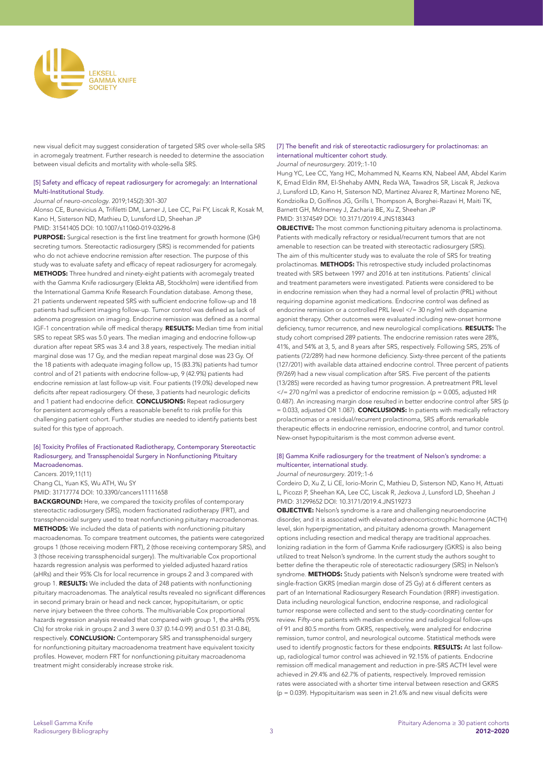

new visual deficit may suggest consideration of targeted SRS over whole-sella SRS in acromegaly treatment. Further research is needed to determine the association between visual deficits and mortality with whole-sella SRS.

# [5] Safety and efficacy of repeat radiosurgery for acromegaly: an International Multi-Institutional Study.

# *Journal of neuro-oncology*. 2019;145(2):301-307

Alonso CE, Bunevicius A, Trifiletti DM, Larner J, Lee CC, Pai FY, Liscak R, Kosak M, Kano H, Sisterson ND, Mathieu D, Lunsford LD, Sheehan JP PMID: 31541405 DOI: 10.1007/s11060-019-03296-8

PURPOSE: Surgical resection is the first line treatment for growth hormone (GH) secreting tumors. Stereotactic radiosurgery (SRS) is recommended for patients who do not achieve endocrine remission after resection. The purpose of this study was to evaluate safety and efficacy of repeat radiosurgery for acromegaly. METHODS: Three hundred and ninety-eight patients with acromegaly treated with the Gamma Knife radiosurgery (Elekta AB, Stockholm) were identified from the International Gamma Knife Research Foundation database. Among these, 21 patients underwent repeated SRS with sufficient endocrine follow-up and 18 patients had sufficient imaging follow-up. Tumor control was defined as lack of adenoma progression on imaging. Endocrine remission was defined as a normal IGF-1 concentration while off medical therapy. RESULTS: Median time from initial SRS to repeat SRS was 5.0 years. The median imaging and endocrine follow-up duration after repeat SRS was 3.4 and 3.8 years, respectively. The median initial marginal dose was 17 Gy, and the median repeat marginal dose was 23 Gy. Of the 18 patients with adequate imaging follow up, 15 (83.3%) patients had tumor control and of 21 patients with endocrine follow-up, 9 (42.9%) patients had endocrine remission at last follow-up visit. Four patients (19.0%) developed new deficits after repeat radiosurgery. Of these, 3 patients had neurologic deficits and 1 patient had endocrine deficit. **CONCLUSIONS:** Repeat radiosurgery for persistent acromegaly offers a reasonable benefit to risk profile for this challenging patient cohort. Further studies are needed to identify patients best suited for this type of approach.

# [6] Toxicity Profiles of Fractionated Radiotherapy, Contemporary Stereotactic Radiosurgery, and Transsphenoidal Surgery in Nonfunctioning Pituitary Macroadenomas.

*Cancers*. 2019;11(11) Chang CL, Yuan KS, Wu ATH, Wu SY PMID: 31717774 DOI: 10.3390/cancers11111658

BACKGROUND: Here, we compared the toxicity profiles of contemporary stereotactic radiosurgery (SRS), modern fractionated radiotherapy (FRT), and transsphenoidal surgery used to treat nonfunctioning pituitary macroadenomas. METHODS: We included the data of patients with nonfunctioning pituitary macroadenomas. To compare treatment outcomes, the patients were categorized groups 1 (those receiving modern FRT), 2 (those receiving contemporary SRS), and 3 (those receiving transsphenoidal surgery). The multivariable Cox proportional hazards regression analysis was performed to yielded adjusted hazard ratios (aHRs) and their 95% CIs for local recurrence in groups 2 and 3 compared with group 1. RESULTS: We included the data of 248 patients with nonfunctioning pituitary macroadenomas. The analytical results revealed no significant differences in second primary brain or head and neck cancer, hypopituitarism, or optic nerve injury between the three cohorts. The multivariable Cox proportional hazards regression analysis revealed that compared with group 1, the aHRs (95% CIs) for stroke risk in groups 2 and 3 were 0.37 (0.14-0.99) and 0.51 (0.31-0.84), respectively. **CONCLUSION:** Contemporary SRS and transsphenoidal surgery for nonfunctioning pituitary macroadenoma treatment have equivalent toxicity profiles. However, modern FRT for nonfunctioning pituitary macroadenoma treatment might considerably increase stroke risk.

# [7] The benefit and risk of stereotactic radiosurgery for prolactinomas: an international multicenter cohort study.

*Journal of neurosurgery*. 2019;:1-10

Hung YC, Lee CC, Yang HC, Mohammed N, Kearns KN, Nabeel AM, Abdel Karim K, Emad Eldin RM, El-Shehaby AMN, Reda WA, Tawadros SR, Liscak R, Jezkova J, Lunsford LD, Kano H, Sisterson ND, Martinez Alvarez R, Martinez Moreno NE, Kondziolka D, Golfinos JG, Grills I, Thompson A, Borghei-Razavi H, Maiti TK, Barnett GH, McInerney J, Zacharia BE, Xu Z, Sheehan JP PMID: 31374549 DOI: 10.3171/2019.4.JNS183443

**OBJECTIVE:** The most common functioning pituitary adenoma is prolactinoma. Patients with medically refractory or residual/recurrent tumors that are not amenable to resection can be treated with stereotactic radiosurgery (SRS). The aim of this multicenter study was to evaluate the role of SRS for treating prolactinomas. METHODS: This retrospective study included prolactinomas treated with SRS between 1997 and 2016 at ten institutions. Patients' clinical and treatment parameters were investigated. Patients were considered to be in endocrine remission when they had a normal level of prolactin (PRL) without requiring dopamine agonist medications. Endocrine control was defined as endocrine remission or a controlled PRL level </= 30 ng/ml with dopamine agonist therapy. Other outcomes were evaluated including new-onset hormone deficiency, tumor recurrence, and new neurological complications. RESULTS: The study cohort comprised 289 patients. The endocrine remission rates were 28%, 41%, and 54% at 3, 5, and 8 years after SRS, respectively. Following SRS, 25% of patients (72/289) had new hormone deficiency. Sixty-three percent of the patients (127/201) with available data attained endocrine control. Three percent of patients (9/269) had a new visual complication after SRS. Five percent of the patients (13/285) were recorded as having tumor progression. A pretreatment PRL level  $\langle$  = 270 ng/ml was a predictor of endocrine remission (p = 0.005, adjusted HR 0.487). An increasing margin dose resulted in better endocrine control after SRS (p = 0.033, adjusted OR 1.087). **CONCLUSIONS:** In patients with medically refractory prolactinomas or a residual/recurrent prolactinoma, SRS affords remarkable therapeutic effects in endocrine remission, endocrine control, and tumor control. New-onset hypopituitarism is the most common adverse event.

# [8] Gamma Knife radiosurgery for the treatment of Nelson's syndrome: a multicenter, international study.

#### *Journal of neurosurgery*. 2019;:1-6

Cordeiro D, Xu Z, Li CE, Iorio-Morin C, Mathieu D, Sisterson ND, Kano H, Attuati L, Picozzi P, Sheehan KA, Lee CC, Liscak R, Jezkova J, Lunsford LD, Sheehan J PMID: 31299652 DOI: 10.3171/2019.4.JNS19273

OBJECTIVE: Nelson's syndrome is a rare and challenging neuroendocrine disorder, and it is associated with elevated adrenocorticotrophic hormone (ACTH) level, skin hyperpigmentation, and pituitary adenoma growth. Management options including resection and medical therapy are traditional approaches. Ionizing radiation in the form of Gamma Knife radiosurgery (GKRS) is also being utilized to treat Nelson's syndrome. In the current study the authors sought to better define the therapeutic role of stereotactic radiosurgery (SRS) in Nelson's syndrome. METHODS: Study patients with Nelson's syndrome were treated with single-fraction GKRS (median margin dose of 25 Gy) at 6 different centers as part of an International Radiosurgery Research Foundation (IRRF) investigation. Data including neurological function, endocrine response, and radiological tumor response were collected and sent to the study-coordinating center for review. Fifty-one patients with median endocrine and radiological follow-ups of 91 and 80.5 months from GKRS, respectively, were analyzed for endocrine remission, tumor control, and neurological outcome. Statistical methods were used to identify prognostic factors for these endpoints. RESULTS: At last followup, radiological tumor control was achieved in 92.15% of patients. Endocrine remission off medical management and reduction in pre-SRS ACTH level were achieved in 29.4% and 62.7% of patients, respectively. Improved remission rates were associated with a shorter time interval between resection and GKRS (p = 0.039). Hypopituitarism was seen in 21.6% and new visual deficits were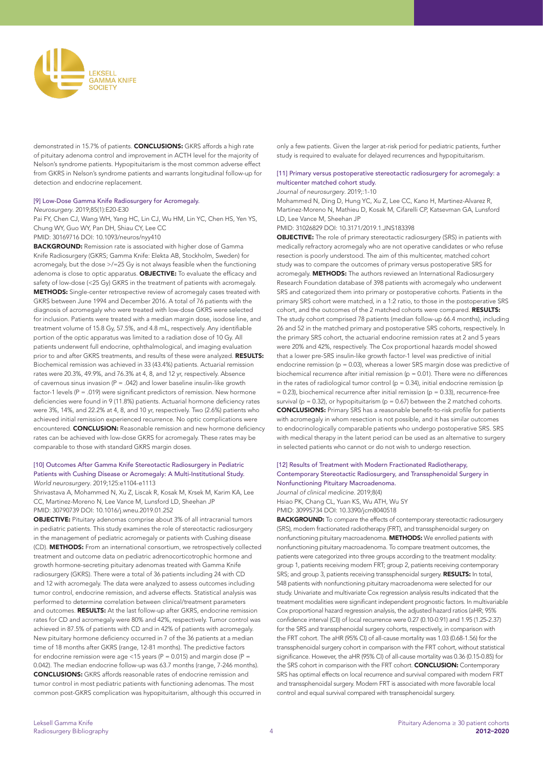

demonstrated in 15.7% of patients. CONCLUSIONS: GKRS affords a high rate of pituitary adenoma control and improvement in ACTH level for the majority of Nelson's syndrome patients. Hypopituitarism is the most common adverse effect from GKRS in Nelson's syndrome patients and warrants longitudinal follow-up for detection and endocrine replacement.

#### [9] Low-Dose Gamma Knife Radiosurgery for Acromegaly.

*Neurosurgery*. 2019;85(1):E20-E30

Pai FY, Chen CJ, Wang WH, Yang HC, Lin CJ, Wu HM, Lin YC, Chen HS, Yen YS, Chung WY, Guo WY, Pan DH, Shiau CY, Lee CC

PMID: 30169716 DOI: 10.1093/neuros/nyy410

BACKGROUND: Remission rate is associated with higher dose of Gamma Knife Radiosurgery (GKRS; Gamma Knife: Elekta AB, Stockholm, Sweden) for acromegaly, but the dose >/=25 Gy is not always feasible when the functioning adenoma is close to optic apparatus. **OBJECTIVE:** To evaluate the efficacy and safety of low-dose (<25 Gy) GKRS in the treatment of patients with acromegaly. METHODS: Single-center retrospective review of acromegaly cases treated with GKRS between June 1994 and December 2016. A total of 76 patients with the diagnosis of acromegaly who were treated with low-dose GKRS were selected for inclusion. Patients were treated with a median margin dose, isodose line, and treatment volume of 15.8 Gy, 57.5%, and 4.8 mL, respectively. Any identifiable portion of the optic apparatus was limited to a radiation dose of 10 Gy. All patients underwent full endocrine, ophthalmological, and imaging evaluation prior to and after GKRS treatments, and results of these were analyzed. RESULTS: Biochemical remission was achieved in 33 (43.4%) patients. Actuarial remission rates were 20.3%, 49.9%, and 76.3% at 4, 8, and 12 yr, respectively. Absence of cavernous sinus invasion ( $P = .042$ ) and lower baseline insulin-like growth factor-1 levels  $(P = 019)$  were significant predictors of remission. New hormone deficiencies were found in 9 (11.8%) patients. Actuarial hormone deficiency rates were 3%, 14%, and 22.2% at 4, 8, and 10 yr, respectively. Two (2.6%) patients who achieved initial remission experienced recurrence. No optic complications were encountered. CONCLUSION: Reasonable remission and new hormone deficiency rates can be achieved with low-dose GKRS for acromegaly. These rates may be comparable to those with standard GKRS margin doses.

# [10] Outcomes After Gamma Knife Stereotactic Radiosurgery in Pediatric Patients with Cushing Disease or Acromegaly: A Multi-Institutional Study. *World neurosurgery*. 2019;125:e1104-e1113

Shrivastava A, Mohammed N, Xu Z, Liscak R, Kosak M, Krsek M, Karim KA, Lee CC, Martinez-Moreno N, Lee Vance M, Lunsford LD, Sheehan JP PMID: 30790739 DOI: 10.1016/j.wneu.2019.01.252

OBJECTIVE: Pituitary adenomas comprise about 3% of all intracranial tumors in pediatric patients. This study examines the role of stereotactic radiosurgery in the management of pediatric acromegaly or patients with Cushing disease (CD). METHODS: From an international consortium, we retrospectively collected treatment and outcome data on pediatric adrenocorticotrophic hormone and growth hormone-secreting pituitary adenomas treated with Gamma Knife radiosurgery (GKRS). There were a total of 36 patients including 24 with CD and 12 with acromegaly. The data were analyzed to assess outcomes including tumor control, endocrine remission, and adverse effects. Statistical analysis was performed to determine correlation between clinical/treatment parameters and outcomes. RESULTS: At the last follow-up after GKRS, endocrine remission rates for CD and acromegaly were 80% and 42%, respectively. Tumor control was achieved in 87.5% of patients with CD and in 42% of patients with acromegaly. New pituitary hormone deficiency occurred in 7 of the 36 patients at a median time of 18 months after GKRS (range, 12-81 months). The predictive factors for endocrine remission were age <15 years ( $P = 0.015$ ) and margin dose ( $P =$ 0.042). The median endocrine follow-up was 63.7 months (range, 7-246 months). CONCLUSIONS: GKRS affords reasonable rates of endocrine remission and tumor control in most pediatric patients with functioning adenomas. The most common post-GKRS complication was hypopituitarism, although this occurred in

only a few patients. Given the larger at-risk period for pediatric patients, further study is required to evaluate for delayed recurrences and hypopituitarism.

# [11] Primary versus postoperative stereotactic radiosurgery for acromegaly: a multicenter matched cohort study.

*Journal of neurosurgery*. 2019;:1-10

Mohammed N, Ding D, Hung YC, Xu Z, Lee CC, Kano H, Martinez-Alvarez R, Martinez-Moreno N, Mathieu D, Kosak M, Cifarelli CP, Katsevman GA, Lunsford LD, Lee Vance M, Sheehan JP

PMID: 31026829 DOI: 10.3171/2019.1.JNS183398

**OBJECTIVE:** The role of primary stereotactic radiosurgery (SRS) in patients with medically refractory acromegaly who are not operative candidates or who refuse resection is poorly understood. The aim of this multicenter, matched cohort study was to compare the outcomes of primary versus postoperative SRS for acromegaly. METHODS: The authors reviewed an International Radiosurgery Research Foundation database of 398 patients with acromegaly who underwent SRS and categorized them into primary or postoperative cohorts. Patients in the primary SRS cohort were matched, in a 1:2 ratio, to those in the postoperative SRS cohort, and the outcomes of the 2 matched cohorts were compared. **RESULTS:** The study cohort comprised 78 patients (median follow-up 66.4 months), including 26 and 52 in the matched primary and postoperative SRS cohorts, respectively. In the primary SRS cohort, the actuarial endocrine remission rates at 2 and 5 years were 20% and 42%, respectively. The Cox proportional hazards model showed that a lower pre-SRS insulin-like growth factor-1 level was predictive of initial endocrine remission ( $p = 0.03$ ), whereas a lower SRS margin dose was predictive of biochemical recurrence after initial remission ( $p = 0.01$ ). There were no differences in the rates of radiological tumor control ( $p = 0.34$ ), initial endocrine remission ( $p$  $= 0.23$ ), biochemical recurrence after initial remission (p  $= 0.33$ ), recurrence-free survival ( $p = 0.32$ ), or hypopituitarism ( $p = 0.67$ ) between the 2 matched cohorts. CONCLUSIONS: Primary SRS has a reasonable benefit-to-risk profile for patients with acromegaly in whom resection is not possible, and it has similar outcomes to endocrinologically comparable patients who undergo postoperative SRS. SRS with medical therapy in the latent period can be used as an alternative to surgery in selected patients who cannot or do not wish to undergo resection.

### [12] Results of Treatment with Modern Fractionated Radiotherapy, Contemporary Stereotactic Radiosurgery, and Transsphenoidal Surgery in Nonfunctioning Pituitary Macroadenoma. *Journal of clinical medicine*. 2019;8(4)

Hsiao PK, Chang CL, Yuan KS, Wu ATH, Wu SY PMID: 30995734 DOI: 10.3390/jcm8040518

**BACKGROUND:** To compare the effects of contemporary stereotactic radiosurgery (SRS), modern fractionated radiotherapy (FRT), and transsphenoidal surgery on nonfunctioning pituitary macroadenoma. **METHODS:** We enrolled patients with nonfunctioning pituitary macroadenoma. To compare treatment outcomes, the patients were categorized into three groups according to the treatment modality: group 1, patients receiving modern FRT; group 2, patients receiving contemporary SRS; and group 3, patients receiving transsphenoidal surgery. RESULTS: In total, 548 patients with nonfunctioning pituitary macroadenoma were selected for our study. Univariate and multivariate Cox regression analysis results indicated that the treatment modalities were significant independent prognostic factors. In multivariable Cox proportional hazard regression analysis, the adjusted hazard ratios (aHR; 95% confidence interval (CI)) of local recurrence were 0.27 (0.10-0.91) and 1.95 (1.25-2.37) for the SRS and transsphenoidal surgery cohorts, respectively, in comparison with the FRT cohort. The aHR (95% CI) of all-cause mortality was 1.03 (0.68-1.56) for the transsphenoidal surgery cohort in comparison with the FRT cohort, without statistical significance. However, the aHR (95% CI) of all-cause mortality was 0.36 (0.15-0.85) for the SRS cohort in comparison with the FRT cohort. CONCLUSION: Contemporary SRS has optimal effects on local recurrence and survival compared with modern FRT and transsphenoidal surgery. Modern FRT is associated with more favorable local control and equal survival compared with transsphenoidal surgery.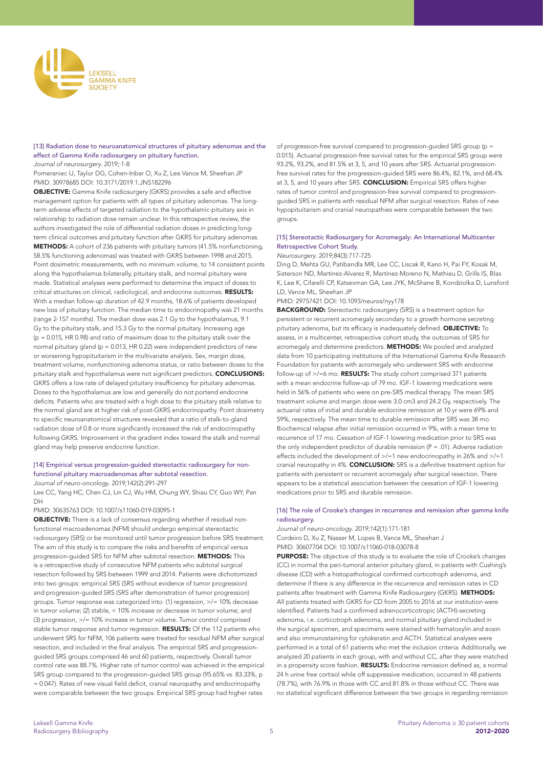

# [13] Radiation dose to neuroanatomical structures of pituitary adenomas and the effect of Gamma Knife radiosurgery on pituitary function.

*Journal of neurosurgery*. 2019;:1-8

Pomeraniec IJ, Taylor DG, Cohen-Inbar O, Xu Z, Lee Vance M, Sheehan JP PMID: 30978685 DOI: 10.3171/2019.1.JNS182296

OBJECTIVE: Gamma Knife radiosurgery (GKRS) provides a safe and effective management option for patients with all types of pituitary adenomas. The longterm adverse effects of targeted radiation to the hypothalamic-pituitary axis in relationship to radiation dose remain unclear. In this retrospective review, the authors investigated the role of differential radiation doses in predicting longterm clinical outcomes and pituitary function after GKRS for pituitary adenomas. METHODS: A cohort of 236 patients with pituitary tumors (41.5% nonfunctioning, 58.5% functioning adenomas) was treated with GKRS between 1998 and 2015. Point dosimetric measurements, with no minimum volume, to 14 consistent points along the hypothalamus bilaterally, pituitary stalk, and normal pituitary were made. Statistical analyses were performed to determine the impact of doses to critical structures on clinical, radiological, and endocrine outcomes. RESULTS: With a median follow-up duration of 42.9 months, 18.6% of patients developed new loss of pituitary function. The median time to endocrinopathy was 21 months (range 2-157 months). The median dose was 2.1 Gy to the hypothalamus, 9.1 Gy to the pituitary stalk, and 15.3 Gy to the normal pituitary. Increasing age (p = 0.015, HR 0.98) and ratio of maximum dose to the pituitary stalk over the normal pituitary gland ( $p = 0.013$ , HR 0.22) were independent predictors of new or worsening hypopituitarism in the multivariate analysis. Sex, margin dose, treatment volume, nonfunctioning adenoma status, or ratio between doses to the pituitary stalk and hypothalamus were not significant predictors. CONCLUSIONS: GKRS offers a low rate of delayed pituitary insufficiency for pituitary adenomas. Doses to the hypothalamus are low and generally do not portend endocrine deficits. Patients who are treated with a high dose to the pituitary stalk relative to the normal gland are at higher risk of post-GKRS endocrinopathy. Point dosimetry to specific neuroanatomical structures revealed that a ratio of stalk-to-gland radiation dose of 0.8 or more significantly increased the risk of endocrinopathy following GKRS. Improvement in the gradient index toward the stalk and normal gland may help preserve endocrine function.

### [14] Empirical versus progression-guided stereotactic radiosurgery for nonfunctional pituitary macroadenomas after subtotal resection.

*Journal of neuro-oncology*. 2019;142(2):291-297

Lee CC, Yang HC, Chen CJ, Lin CJ, Wu HM, Chung WY, Shiau CY, Guo WY, Pan DH

#### PMID: 30635763 DOI: 10.1007/s11060-019-03095-1

OBJECTIVE: There is a lack of consensus regarding whether if residual nonfunctional macroadenomas (NFM) should undergo empirical stereotactic radiosurgery (SRS) or be monitored until tumor progression before SRS treatment. The aim of this study is to compare the risks and benefits of empirical versus progression-guided SRS for NFM after subtotal resection. METHODS: This is a retrospective study of consecutive NFM patients who subtotal surgical resection followed by SRS between 1999 and 2014. Patients were dichotomized into two groups: empirical SRS (SRS without evidence of tumor progression) and progression-guided SRS (SRS after demonstration of tumor progression) groups. Tumor response was categorized into: (1) regression, >/= 10% decrease in tumor volume; (2) stable, < 10% increase or decrease in tumor volume; and (3) progression, >/= 10% increase in tumor volume. Tumor control comprised stable tumor response and tumor regression. RESULTS: Of the 112 patients who underwent SRS for NFM, 106 patients were treated for residual NFM after surgical resection, and included in the final analysis. The empirical SRS and progressionguided SRS groups comprised 46 and 60 patients, respectively. Overall tumor control rate was 88.7%. Higher rate of tumor control was achieved in the empirical SRS group compared to the progression-guided SRS group (95.65% vs. 83.33%, p = 0.047). Rates of new visual field deficit, cranial neuropathy and endocrinopathy were comparable between the two groups. Empirical SRS group had higher rates

of progression-free survival compared to progression-guided SRS group (p = 0.015). Actuarial progression-free survival rates for the empirical SRS group were 93.2%, 93.2%, and 81.5% at 3, 5, and 10 years after SRS. Actuarial progressionfree survival rates for the progression-guided SRS were 86.4%, 82.1%, and 68.4% at 3, 5, and 10 years after SRS. **CONCLUSION:** Empirical SRS offers higher rates of tumor control and progression-free survival compared to progressionguided SRS in patients with residual NFM after surgical resection. Rates of new hypopituitarism and cranial neuropathies were comparable between the two groups.

# [15] Stereotactic Radiosurgery for Acromegaly: An International Multicenter Retrospective Cohort Study.

# *Neurosurgery*. 2019;84(3):717-725

Ding D, Mehta GU, Patibandla MR, Lee CC, Liscak R, Kano H, Pai FY, Kosak M, Sisterson ND, Martinez-Alvarez R, Martinez-Moreno N, Mathieu D, Grills IS, Blas K, Lee K, Cifarelli CP, Katsevman GA, Lee JYK, McShane B, Kondziolka D, Lunsford LD, Vance ML, Sheehan JP

PMID: 29757421 DOI: 10.1093/neuros/nyy178

**BACKGROUND:** Stereotactic radiosurgery (SRS) is a treatment option for persistent or recurrent acromegaly secondary to a growth hormone secreting pituitary adenoma, but its efficacy is inadequately defined. OBJECTIVE: To assess, in a multicenter, retrospective cohort study, the outcomes of SRS for acromegaly and determine predictors. **METHODS:** We pooled and analyzed data from 10 participating institutions of the International Gamma Knife Research Foundation for patients with acromegaly who underwent SRS with endocrine follow-up of >/=6 mo. RESULTS: The study cohort comprised 371 patients with a mean endocrine follow-up of 79 mo. IGF-1 lowering medications were held in 56% of patients who were on pre-SRS medical therapy. The mean SRS treatment volume and margin dose were 3.0 cm3 and 24.2 Gy, respectively. The actuarial rates of initial and durable endocrine remission at 10 yr were 69% and 59%, respectively. The mean time to durable remission after SRS was 38 mo. Biochemical relapse after initial remission occurred in 9%, with a mean time to recurrence of 17 mo. Cessation of IGF-1 lowering medication prior to SRS was the only independent predictor of durable remission  $(P = .01)$ . Adverse radiation effects included the development of >/=1 new endocrinopathy in 26% and >/=1 cranial neuropathy in 4%. **CONCLUSION:** SRS is a definitive treatment option for patients with persistent or recurrent acromegaly after surgical resection. There appears to be a statistical association between the cessation of IGF-1 lowering medications prior to SRS and durable remission.

### [16] The role of Crooke's changes in recurrence and remission after gamma knife radiosurgery.

*Journal of neuro-oncology*. 2019;142(1):171-181

Cordeiro D, Xu Z, Nasser M, Lopes B, Vance ML, Sheehan J

PMID: 30607704 DOI: 10.1007/s11060-018-03078-8

PURPOSE: The objective of this study is to evaluate the role of Crooke's changes (CC) in normal the peri-tumoral anterior pituitary gland, in patients with Cushing's disease (CD) with a histopathological confirmed corticotroph adenoma, and determine if there is any difference in the recurrence and remission rates in CD patients after treatment with Gamma Knife Radiosurgery (GKRS). METHODS: All patients treated with GKRS for CD from 2005 to 2016 at our institution were identified. Patients had a confirmed adrenocorticotropic (ACTH)-secreting adenoma, i.e. corticotroph adenoma, and normal pituitary gland included in the surgical specimen, and specimens were stained with hematoxylin and eosin and also immunostaining for cytokeratin and ACTH. Statistical analyses were performed in a total of 61 patients who met the inclusion criteria. Additionally, we analyzed 20 patients in each group, with and without CC, after they were matched in a propensity score fashion. RESULTS: Endocrine remission defined as, a normal 24 h urine free cortisol while off suppressive medication, occurred in 48 patients (78.7%), with 76.9% in those with CC and 81.8% in those without CC. There was no statistical significant difference between the two groups in regarding remission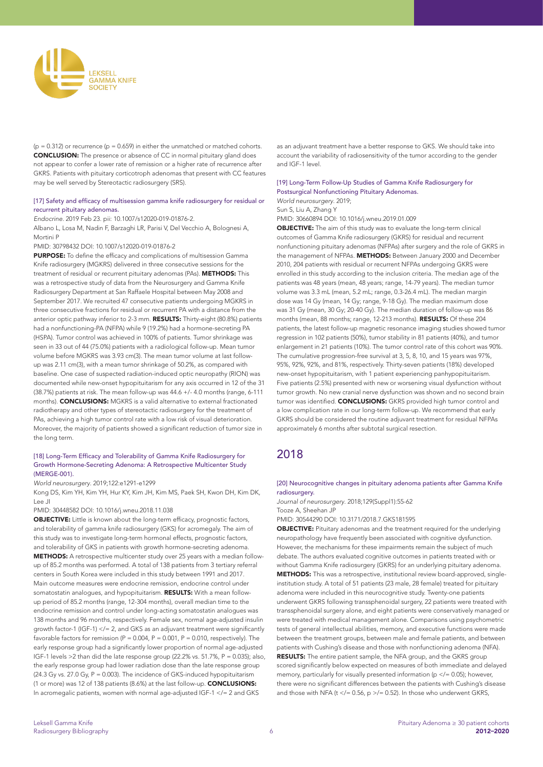

 $(p = 0.312)$  or recurrence  $(p = 0.659)$  in either the unmatched or matched cohorts. CONCLUSION: The presence or absence of CC in normal pituitary gland does not appear to confer a lower rate of remission or a higher rate of recurrence after GKRS. Patients with pituitary corticotroph adenomas that present with CC features may be well served by Stereotactic radiosurgery (SRS).

### [17] Safety and efficacy of multisession gamma knife radiosurgery for residual or recurrent pituitary adenomas.

*Endocrine*. 2019 Feb 23. pii: 10.1007/s12020-019-01876-2.

Albano L, Losa M, Nadin F, Barzaghi LR, Parisi V, Del Vecchio A, Bolognesi A, Mortini P

# PMID: 30798432 DOI: 10.1007/s12020-019-01876-2

PURPOSE: To define the efficacy and complications of multisession Gamma Knife radiosurgery (MGKRS) delivered in three consecutive sessions for the treatment of residual or recurrent pituitary adenomas (PAs). METHODS: This was a retrospective study of data from the Neurosurgery and Gamma Knife Radiosurgery Department at San Raffaele Hospital between May 2008 and September 2017. We recruited 47 consecutive patients undergoing MGKRS in three consecutive fractions for residual or recurrent PA with a distance from the anterior optic pathway inferior to 2-3 mm. RESULTS: Thirty-eight (80.8%) patients had a nonfunctioning-PA (NFPA) while 9 (19.2%) had a hormone-secreting PA (HSPA). Tumor control was achieved in 100% of patients. Tumor shrinkage was seen in 33 out of 44 (75.0%) patients with a radiological follow-up. Mean tumor volume before MGKRS was 3.93 cm(3). The mean tumor volume at last followup was 2.11 cm(3), with a mean tumor shrinkage of 50.2%, as compared with baseline. One case of suspected radiation-induced optic neuropathy (RION) was documented while new-onset hypopituitarism for any axis occurred in 12 of the 31  $(38.7%)$  patients at risk. The mean follow-up was  $44.6 + 7.40$  months (range, 6-111) months). CONCLUSIONS: MGKRS is a valid alternative to external fractionated radiotherapy and other types of stereotactic radiosurgery for the treatment of PAs, achieving a high tumor control rate with a low risk of visual deterioration. Moreover, the majority of patients showed a significant reduction of tumor size in the long term.

### [18] Long-Term Efficacy and Tolerability of Gamma Knife Radiosurgery for Growth Hormone-Secreting Adenoma: A Retrospective Multicenter Study (MERGE-001).

*World neurosurgery*. 2019;122:e1291-e1299

Kong DS, Kim YH, Kim YH, Hur KY, Kim JH, Kim MS, Paek SH, Kwon DH, Kim DK, Lee JI

PMID: 30448582 DOI: 10.1016/j.wneu.2018.11.038

**OBJECTIVE:** Little is known about the long-term efficacy, prognostic factors, and tolerability of gamma knife radiosurgery (GKS) for acromegaly. The aim of this study was to investigate long-term hormonal effects, prognostic factors, and tolerability of GKS in patients with growth hormone-secreting adenoma. METHODS: A retrospective multicenter study over 25 years with a median followup of 85.2 months was performed. A total of 138 patients from 3 tertiary referral centers in South Korea were included in this study between 1991 and 2017. Main outcome measures were endocrine remission, endocrine control under somatostatin analogues, and hypopituitarism. RESULTS: With a mean followup period of 85.2 months (range, 12-304 months), overall median time to the endocrine remission and control under long-acting somatostatin analogues was 138 months and 96 months, respectively. Female sex, normal age-adjusted insulin growth factor-1 (IGF-1) </= 2, and GKS as an adjuvant treatment were significantly favorable factors for remission (P =  $0.004$ , P =  $0.001$ , P =  $0.010$ , respectively). The early response group had a significantly lower proportion of normal age-adjusted IGF-1 levels >2 than did the late response group (22.2% vs. 51.7%, P = 0.035); also, the early response group had lower radiation dose than the late response group (24.3 Gy vs. 27.0 Gy, P = 0.003). The incidence of GKS-induced hypopituitarism (1 or more) was 12 of 138 patients (8.6%) at the last follow-up. CONCLUSIONS: In acromegalic patients, women with normal age-adjusted IGF-1 </= 2 and GKS

as an adjuvant treatment have a better response to GKS. We should take into account the variability of radiosensitivity of the tumor according to the gender and IGF-1 level.

### [19] Long-Term Follow-Up Studies of Gamma Knife Radiosurgery for Postsurgical Nonfunctioning Pituitary Adenomas. *World neurosurgery*. 2019;

Sun S, Liu A, Zhang Y

PMID: 30660894 DOI: 10.1016/j.wneu.2019.01.009

**OBJECTIVE:** The aim of this study was to evaluate the long-term clinical outcomes of Gamma Knife radiosurgery (GKRS) for residual and recurrent nonfunctioning pituitary adenomas (NFPAs) after surgery and the role of GKRS in the management of NFPAs. METHODS: Between January 2000 and December 2010, 204 patients with residual or recurrent NFPAs undergoing GKRS were enrolled in this study according to the inclusion criteria. The median age of the patients was 48 years (mean, 48 years; range, 14-79 years). The median tumor volume was 3.3 mL (mean, 5.2 mL; range, 0.3-26.4 mL). The median margin dose was 14 Gy (mean, 14 Gy; range, 9-18 Gy). The median maximum dose was 31 Gy (mean, 30 Gy; 20-40 Gy). The median duration of follow-up was 86 months (mean, 88 months; range, 12-213 months). RESULTS: Of these 204 patients, the latest follow-up magnetic resonance imaging studies showed tumor regression in 102 patients (50%), tumor stability in 81 patients (40%), and tumor enlargement in 21 patients (10%). The tumor control rate of this cohort was 90%. The cumulative progression-free survival at 3, 5, 8, 10, and 15 years was 97%, 95%, 92%, 92%, and 81%, respectively. Thirty-seven patients (18%) developed new-onset hypopituitarism, with 1 patient experiencing panhypopituitarism. Five patients (2.5%) presented with new or worsening visual dysfunction without tumor growth. No new cranial nerve dysfunction was shown and no second brain tumor was identified. **CONCLUSIONS:** GKRS provided high tumor control and a low complication rate in our long-term follow-up. We recommend that early GKRS should be considered the routine adjuvant treatment for residual NFPAs approximately 6 months after subtotal surgical resection.

# 2018

[20] Neurocognitive changes in pituitary adenoma patients after Gamma Knife radiosurgery.

*Journal of neurosurgery*. 2018;129(Suppl1):55-62 Tooze A, Sheehan JP

PMID: 30544290 DOI: 10.3171/2018.7.GKS181595

OBJECTIVE: Pituitary adenomas and the treatment required for the underlying neuropathology have frequently been associated with cognitive dysfunction. However, the mechanisms for these impairments remain the subject of much debate. The authors evaluated cognitive outcomes in patients treated with or without Gamma Knife radiosurgery (GKRS) for an underlying pituitary adenoma. METHODS: This was a retrospective, institutional review board-approved, singleinstitution study. A total of 51 patients (23 male, 28 female) treated for pituitary adenoma were included in this neurocognitive study. Twenty-one patients underwent GKRS following transsphenoidal surgery, 22 patients were treated with transsphenoidal surgery alone, and eight patients were conservatively managed or were treated with medical management alone. Comparisons using psychometric tests of general intellectual abilities, memory, and executive functions were made between the treatment groups, between male and female patients, and between patients with Cushing's disease and those with nonfunctioning adenoma (NFA). RESULTS: The entire patient sample, the NFA group, and the GKRS group scored significantly below expected on measures of both immediate and delayed memory, particularly for visually presented information ( $p \lt 0.05$ ); however, there were no significant differences between the patients with Cushing's disease and those with NFA (t </= 0.56, p >/= 0.52). In those who underwent GKRS,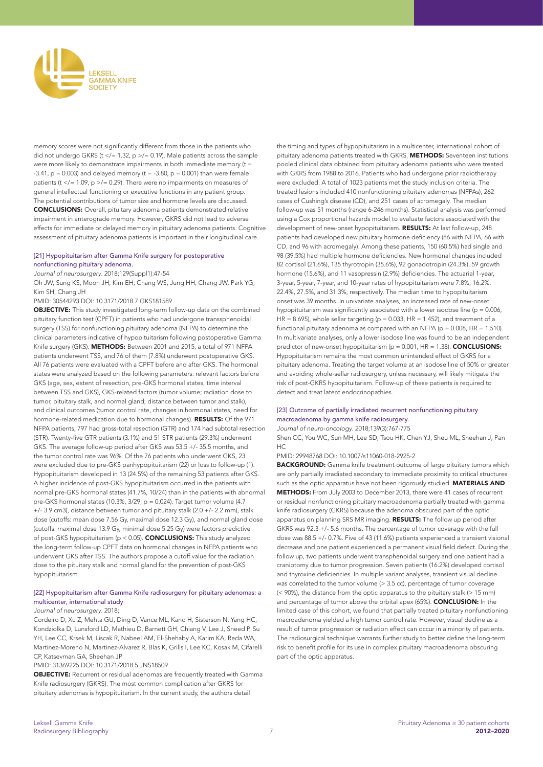

memory scores were not significantly different from those in the patients who did not undergo GKRS (t </= 1.32, p >/= 0.19). Male patients across the sample were more likely to demonstrate impairments in both immediate memory (t = -3.41,  $p = 0.003$ ) and delayed memory (t = -3.80,  $p = 0.001$ ) than were female patients (t </= 1.09, p >/= 0.29). There were no impairments on measures of general intellectual functioning or executive functions in any patient group. The potential contributions of tumor size and hormone levels are discussed. CONCLUSIONS: Overall, pituitary adenoma patients demonstrated relative impairment in anterograde memory. However, GKRS did not lead to adverse effects for immediate or delayed memory in pituitary adenoma patients. Cognitive assessment of pituitary adenoma patients is important in their longitudinal care.

# [21] Hypopituitarism after Gamma Knife surgery for postoperative nonfunctioning pituitary adenoma.

*Journal of neurosurgery*. 2018;129(Suppl1):47-54

Oh JW, Sung KS, Moon JH, Kim EH, Chang WS, Jung HH, Chang JW, Park YG, Kim SH, Chang JH

PMID: 30544293 DOI: 10.3171/2018.7.GKS181589

OBJECTIVE: This study investigated long-term follow-up data on the combined pituitary function test (CPFT) in patients who had undergone transsphenoidal surgery (TSS) for nonfunctioning pituitary adenoma (NFPA) to determine the clinical parameters indicative of hypopituitarism following postoperative Gamma Knife surgery (GKS). METHODS: Between 2001 and 2015, a total of 971 NFPA patients underwent TSS, and 76 of them (7.8%) underwent postoperative GKS. All 76 patients were evaluated with a CPFT before and after GKS. The hormonal states were analyzed based on the following parameters: relevant factors before GKS (age, sex, extent of resection, pre-GKS hormonal states, time interval between TSS and GKS), GKS-related factors (tumor volume; radiation dose to tumor, pituitary stalk, and normal gland; distance between tumor and stalk), and clinical outcomes (tumor control rate, changes in hormonal states, need for hormone-related medication due to hormonal changes). RESULTS: Of the 971 NFPA patients, 797 had gross-total resection (GTR) and 174 had subtotal resection (STR). Twenty-five GTR patients (3.1%) and 51 STR patients (29.3%) underwent GKS. The average follow-up period after GKS was 53.5 +/- 35.5 months, and the tumor control rate was 96%. Of the 76 patients who underwent GKS, 23 were excluded due to pre-GKS panhypopituitarism (22) or loss to follow-up (1). Hypopituitarism developed in 13 (24.5%) of the remaining 53 patients after GKS. A higher incidence of post-GKS hypopituitarism occurred in the patients with normal pre-GKS hormonal states (41.7%, 10/24) than in the patients with abnormal pre-GKS hormonal states (10.3%, 3/29; p = 0.024). Target tumor volume (4.7 +/- 3.9 cm3), distance between tumor and pituitary stalk (2.0 +/- 2.2 mm), stalk dose (cutoffs: mean dose 7.56 Gy, maximal dose 12.3 Gy), and normal gland dose (cutoffs: maximal dose 13.9 Gy, minimal dose 5.25 Gy) were factors predictive of post-GKS hypopituitarism (p < 0.05). CONCLUSIONS: This study analyzed the long-term follow-up CPFT data on hormonal changes in NFPA patients who underwent GKS after TSS. The authors propose a cutoff value for the radiation dose to the pituitary stalk and normal gland for the prevention of post-GKS hypopituitarism.

# [22] Hypopituitarism after Gamma Knife radiosurgery for pituitary adenomas: a multicenter, international study

### *Journal of neurosurgery*. 2018;

Cordeiro D, Xu Z, Mehta GU, Ding D, Vance ML, Kano H, Sisterson N, Yang HC, Kondziolka D, Lunsford LD, Mathieu D, Barnett GH, Chiang V, Lee J, Sneed P, Su YH, Lee CC, Krsek M, Liscak R, Nabeel AM, El-Shehaby A, Karim KA, Reda WA, Martinez-Moreno N, Martinez-Alvarez R, Blas K, Grills I, Lee KC, Kosak M, Cifarelli CP, Katseyman GA, Sheehan JP

# PMID: 31369225 DOI: 10.3171/2018.5.JNS18509

OBJECTIVE: Recurrent or residual adenomas are frequently treated with Gamma Knife radiosurgery (GKRS). The most common complication after GKRS for pituitary adenomas is hypopituitarism. In the current study, the authors detail

the timing and types of hypopituitarism in a multicenter, international cohort of pituitary adenoma patients treated with GKRS. METHODS: Seventeen institutions pooled clinical data obtained from pituitary adenoma patients who were treated with GKRS from 1988 to 2016. Patients who had undergone prior radiotherapy were excluded. A total of 1023 patients met the study inclusion criteria. The treated lesions included 410 nonfunctioning pituitary adenomas (NFPAs), 262 cases of Cushing's disease (CD), and 251 cases of acromegaly. The median follow-up was 51 months (range 6-246 months). Statistical analysis was performed using a Cox proportional hazards model to evaluate factors associated with the development of new-onset hypopituitarism. RESULTS: At last follow-up, 248 patients had developed new pituitary hormone deficiency (86 with NFPA, 66 with CD, and 96 with acromegaly). Among these patients, 150 (60.5%) had single and 98 (39.5%) had multiple hormone deficiencies. New hormonal changes included 82 cortisol (21.6%), 135 thyrotropin (35.6%), 92 gonadotropin (24.3%), 59 growth hormone (15.6%), and 11 vasopressin (2.9%) deficiencies. The actuarial 1-year, 3-year, 5-year, 7-year, and 10-year rates of hypopituitarism were 7.8%, 16.2%, 22.4%, 27.5%, and 31.3%, respectively. The median time to hypopituitarism onset was 39 months. In univariate analyses, an increased rate of new-onset hypopituitarism was significantly associated with a lower isodose line ( $p = 0.006$ ) HR = 8.695), whole sellar targeting ( $p = 0.033$ , HR = 1.452), and treatment of a functional pituitary adenoma as compared with an NFPA ( $p = 0.008$ , HR = 1.510). In multivariate analyses, only a lower isodose line was found to be an independent predictor of new-onset hypopituitarism (p = 0.001, HR = 1.38). **CONCLUSIONS:** Hypopituitarism remains the most common unintended effect of GKRS for a pituitary adenoma. Treating the target volume at an isodose line of 50% or greater and avoiding whole-sellar radiosurgery, unless necessary, will likely mitigate the risk of post-GKRS hypopituitarism. Follow-up of these patients is required to detect and treat latent endocrinopathies.

# [23] Outcome of partially irradiated recurrent nonfunctioning pituitary macroadenoma by gamma knife radiosurgery.

*Journal of neuro-oncology*. 2018;139(3):767-775

Shen CC, You WC, Sun MH, Lee SD, Tsou HK, Chen YJ, Sheu ML, Sheehan J, Pan  $H\subset$ 

# PMID: 29948768 DOI: 10.1007/s11060-018-2925-2

BACKGROUND: Gamma knife treatment outcome of large pituitary tumors which are only partially irradiated secondary to immediate proximity to critical structures such as the optic apparatus have not been rigorously studied. MATERIALS AND METHODS: From July 2003 to December 2013, there were 41 cases of recurrent or residual nonfunctioning pituitary macroadenoma partially treated with gamma knife radiosurgery (GKRS) because the adenoma obscured part of the optic apparatus on planning SRS MR imaging. RESULTS: The follow up period after GKRS was 92.3 +/- 5.6 months. The percentage of tumor coverage with the full dose was 88.5 +/- 0.7%. Five of 43 (11.6%) patients experienced a transient visional decrease and one patient experienced a permanent visual field defect. During the follow up, two patients underwent transphenoidal surgery and one patient had a craniotomy due to tumor progression. Seven patients (16.2%) developed cortisol and thyroxine deficiencies. In multiple variant analyses, transient visual decline was correlated to the tumor volume (> 3.5 cc), percentage of tumor coverage (< 90%), the distance from the optic apparatus to the pituitary stalk (> 15 mm) and percentage of tumor above the orbital apex (65%). CONCLUSION: In the limited case of this cohort, we found that partially treated pituitary nonfunctioning macroadenoma yielded a high tumor control rate. However, visual decline as a result of tumor progression or radiation effect can occur in a minority of patients. The radiosurgical technique warrants further study to better define the long-term risk to benefit profile for its use in complex pituitary macroadenoma obscuring part of the optic apparatus.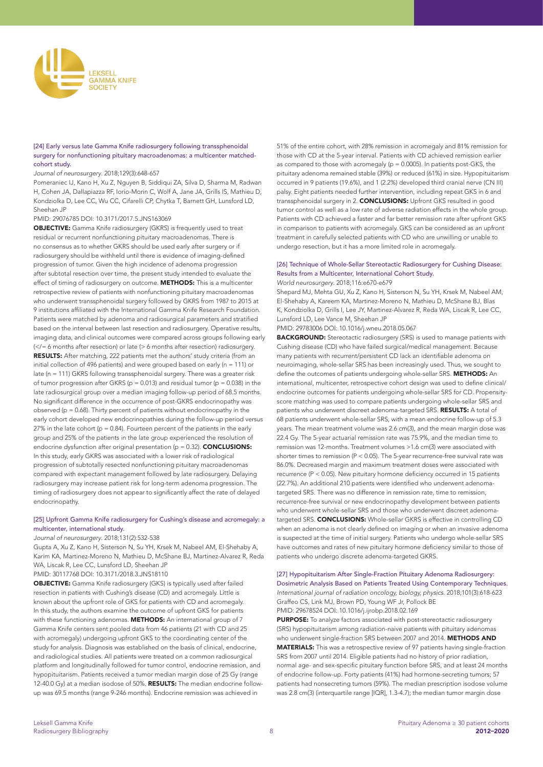

# [24] Early versus late Gamma Knife radiosurgery following transsphenoidal surgery for nonfunctioning pituitary macroadenomas: a multicenter matchedcohort study.

#### *Journal of neurosurgery*. 2018;129(3):648-657

Pomeraniec IJ, Kano H, Xu Z, Nguyen B, Siddiqui ZA, Silva D, Sharma M, Radwan H, Cohen JA, Dallapiazza RF, Iorio-Morin C, Wolf A, Jane JA, Grills IS, Mathieu D, Kondziolka D, Lee CC, Wu CC, Cifarelli CP, Chytka T, Barnett GH, Lunsford LD, Sheehan JP

# PMID: 29076785 DOI: 10.3171/2017.5.JNS163069

**OBJECTIVE:** Gamma Knife radiosurgery (GKRS) is frequently used to treat residual or recurrent nonfunctioning pituitary macroadenomas. There is no consensus as to whether GKRS should be used early after surgery or if radiosurgery should be withheld until there is evidence of imaging-defined progression of tumor. Given the high incidence of adenoma progression after subtotal resection over time, the present study intended to evaluate the effect of timing of radiosurgery on outcome. METHODS: This is a multicenter retrospective review of patients with nonfunctioning pituitary macroadenomas who underwent transsphenoidal surgery followed by GKRS from 1987 to 2015 at 9 institutions affiliated with the International Gamma Knife Research Foundation. Patients were matched by adenoma and radiosurgical parameters and stratified based on the interval between last resection and radiosurgery. Operative results, imaging data, and clinical outcomes were compared across groups following early (</= 6 months after resection) or late (> 6 months after resection) radiosurgery. RESULTS: After matching, 222 patients met the authors' study criteria (from an initial collection of 496 patients) and were grouped based on early ( $n = 111$ ) or late (n = 111) GKRS following transsphenoidal surgery. There was a greater risk of tumor progression after GKRS ( $p = 0.013$ ) and residual tumor ( $p = 0.038$ ) in the late radiosurgical group over a median imaging follow-up period of 68.5 months. No significant difference in the occurrence of post-GKRS endocrinopathy was observed ( $p = 0.68$ ). Thirty percent of patients without endocrinopathy in the early cohort developed new endocrinopathies during the follow-up period versus 27% in the late cohort ( $p = 0.84$ ). Fourteen percent of the patients in the early group and 25% of the patients in the late group experienced the resolution of endocrine dysfunction after original presentation ( $p = 0.32$ ). **CONCLUSIONS:** In this study, early GKRS was associated with a lower risk of radiological progression of subtotally resected nonfunctioning pituitary macroadenomas compared with expectant management followed by late radiosurgery. Delaying radiosurgery may increase patient risk for long-term adenoma progression. The timing of radiosurgery does not appear to significantly affect the rate of delayed endocrinopathy.

# [25] Upfront Gamma Knife radiosurgery for Cushing's disease and acromegaly: a multicenter, international study.

#### *Journal of neurosurgery*. 2018;131(2):532-538

Gupta A, Xu Z, Kano H, Sisterson N, Su YH, Krsek M, Nabeel AM, El-Shehaby A, Karim KA, Martinez-Moreno N, Mathieu D, McShane BJ, Martinez-Alvarez R, Reda WA, Liscak R, Lee CC, Lunsford LD, Sheehan JP PMID: 30117768 DOI: 10.3171/2018.3.JNS18110

OBJECTIVE: Gamma Knife radiosurgery (GKS) is typically used after failed resection in patients with Cushing's disease (CD) and acromegaly. Little is known about the upfront role of GKS for patients with CD and acromegaly. In this study, the authors examine the outcome of upfront GKS for patients with these functioning adenomas. **METHODS:** An international group of 7 Gamma Knife centers sent pooled data from 46 patients (21 with CD and 25 with acromegaly) undergoing upfront GKS to the coordinating center of the study for analysis. Diagnosis was established on the basis of clinical, endocrine, and radiological studies. All patients were treated on a common radiosurgical platform and longitudinally followed for tumor control, endocrine remission, and hypopituitarism. Patients received a tumor median margin dose of 25 Gy (range 12-40.0 Gy) at a median isodose of 50%. RESULTS: The median endocrine followup was 69.5 months (range 9-246 months). Endocrine remission was achieved in

51% of the entire cohort, with 28% remission in acromegaly and 81% remission for those with CD at the 5-year interval. Patients with CD achieved remission earlier as compared to those with acromegaly ( $p = 0.0005$ ). In patients post-GKS, the pituitary adenoma remained stable (39%) or reduced (61%) in size. Hypopituitarism occurred in 9 patients (19.6%), and 1 (2.2%) developed third cranial nerve (CN III) palsy. Eight patients needed further intervention, including repeat GKS in 6 and transsphenoidal surgery in 2. **CONCLUSIONS:** Upfront GKS resulted in good tumor control as well as a low rate of adverse radiation effects in the whole group. Patients with CD achieved a faster and far better remission rate after upfront GKS in comparison to patients with acromegaly. GKS can be considered as an upfront treatment in carefully selected patients with CD who are unwilling or unable to undergo resection, but it has a more limited role in acromegaly.

# [26] Technique of Whole-Sellar Stereotactic Radiosurgery for Cushing Disease: Results from a Multicenter, International Cohort Study. *World neurosurgery*. 2018;116:e670-e679

Shepard MJ, Mehta GU, Xu Z, Kano H, Sisterson N, Su YH, Krsek M, Nabeel AM, El-Shehaby A, Kareem KA, Martinez-Moreno N, Mathieu D, McShane BJ, Blas K, Kondziolka D, Grills I, Lee JY, Martinez-Alvarez R, Reda WA, Liscak R, Lee CC, Lunsford LD, Lee Vance M, Sheehan JP

PMID: 29783006 DOI: 10.1016/j.wneu.2018.05.067

**BACKGROUND:** Stereotactic radiosurgery (SRS) is used to manage patients with Cushing disease (CD) who have failed surgical/medical management. Because many patients with recurrent/persistent CD lack an identifiable adenoma on neuroimaging, whole-sellar SRS has been increasingly used. Thus, we sought to define the outcomes of patients undergoing whole-sellar SRS. METHODS: An international, multicenter, retrospective cohort design was used to define clinical/ endocrine outcomes for patients undergoing whole-sellar SRS for CD. Propensityscore matching was used to compare patients undergoing whole-sellar SRS and patients who underwent discreet adenoma-targeted SRS. RESULTS: A total of 68 patients underwent whole-sellar SRS, with a mean endocrine follow-up of 5.3 years. The mean treatment volume was 2.6 cm(3), and the mean margin dose was 22.4 Gy. The 5-year actuarial remission rate was 75.9%, and the median time to remission was 12-months. Treatment volumes >1.6 cm(3) were associated with shorter times to remission (P < 0.05). The 5-year recurrence-free survival rate was 86.0%. Decreased margin and maximum treatment doses were associated with recurrence (P < 0.05). New pituitary hormone deficiency occurred in 15 patients (22.7%). An additional 210 patients were identified who underwent adenomatargeted SRS. There was no difference in remission rate, time to remission, recurrence-free survival or new endocrinopathy development between patients who underwent whole-sellar SRS and those who underwent discreet adenomatargeted SRS. CONCLUSIONS: Whole-sellar GKRS is effective in controlling CD when an adenoma is not clearly defined on imaging or when an invasive adenoma is suspected at the time of initial surgery. Patients who undergo whole-sellar SRS have outcomes and rates of new pituitary hormone deficiency similar to those of patients who undergo discrete adenoma-targeted GKRS.

# [27] Hypopituitarism After Single-Fraction Pituitary Adenoma Radiosurgery: Dosimetric Analysis Based on Patients Treated Using Contemporary Techniques. *International journal of radiation oncology, biology, physics*. 2018;101(3):618-623 Graffeo CS, Link MJ, Brown PD, Young WF Jr, Pollock BE PMID: 29678524 DOI: 10.1016/j.ijrobp.2018.02.169

PURPOSE: To analyze factors associated with post-stereotactic radiosurgery (SRS) hypopituitarism among radiation-naive patients with pituitary adenomas who underwent single-fraction SRS between 2007 and 2014. METHODS AND MATERIALS: This was a retrospective review of 97 patients having single-fraction SRS from 2007 until 2014. Eligible patients had no history of prior radiation, normal age- and sex-specific pituitary function before SRS, and at least 24 months of endocrine follow-up. Forty patients (41%) had hormone-secreting tumors; 57 patients had nonsecreting tumors (59%). The median prescription isodose volume was 2.8 cm(3) (interquartile range [IQR], 1.3-4.7); the median tumor margin dose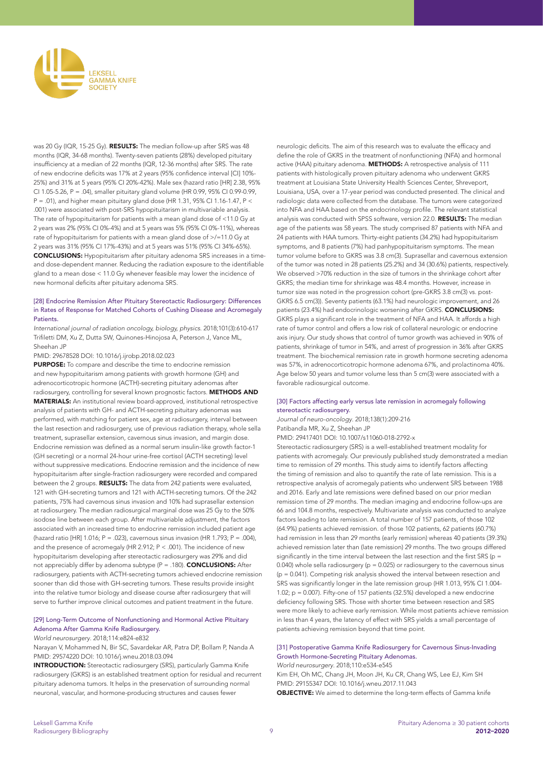

was 20 Gy (IQR, 15-25 Gy). RESULTS: The median follow-up after SRS was 48 months (IQR, 34-68 months). Twenty-seven patients (28%) developed pituitary insufficiency at a median of 22 months (IQR, 12-36 months) after SRS. The rate of new endocrine deficits was 17% at 2 years (95% confidence interval [CI] 10%- 25%) and 31% at 5 years (95% CI 20%-42%). Male sex (hazard ratio [HR] 2.38, 95% CI 1.05-5.26, P = .04), smaller pituitary gland volume (HR 0.99, 95% CI 0.99-0.99, P = .01), and higher mean pituitary gland dose (HR 1.31, 95% CI 1.16-1.47, P < .001) were associated with post-SRS hypopituitarism in multivariable analysis. The rate of hypopituitarism for patients with a mean gland dose of <11.0 Gy at 2 years was 2% (95% CI 0%-4%) and at 5 years was 5% (95% CI 0%-11%), whereas rate of hypopituitarism for patients with a mean gland dose of >/=11.0 Gy at 2 years was 31% (95% CI 17%-43%) and at 5 years was 51% (95% CI 34%-65%). CONCLUSIONS: Hypopituitarism after pituitary adenoma SRS increases in a timeand dose-dependent manner. Reducing the radiation exposure to the identifiable gland to a mean dose < 11.0 Gy whenever feasible may lower the incidence of new hormonal deficits after pituitary adenoma SRS.

### [28] Endocrine Remission After Pituitary Stereotactic Radiosurgery: Differences in Rates of Response for Matched Cohorts of Cushing Disease and Acromegaly Patients.

*International journal of radiation oncology, biology, physics*. 2018;101(3):610-617 Trifiletti DM, Xu Z, Dutta SW, Quinones-Hinojosa A, Peterson J, Vance ML, Sheehan JP

PMID: 29678528 DOI: 10.1016/j.ijrobp.2018.02.023

PURPOSE: To compare and describe the time to endocrine remission and new hypopituitarism among patients with growth hormone (GH) and adrenocorticotropic hormone (ACTH)-secreting pituitary adenomas after radiosurgery, controlling for several known prognostic factors. METHODS AND MATERIALS: An institutional review board-approved, institutional retrospective analysis of patients with GH- and ACTH-secreting pituitary adenomas was performed, with matching for patient sex, age at radiosurgery, interval between the last resection and radiosurgery, use of previous radiation therapy, whole sella treatment, suprasellar extension, cavernous sinus invasion, and margin dose. Endocrine remission was defined as a normal serum insulin-like growth factor-1 (GH secreting) or a normal 24-hour urine-free cortisol (ACTH secreting) level without suppressive medications. Endocrine remission and the incidence of new hypopituitarism after single-fraction radiosurgery were recorded and compared between the 2 groups. RESULTS: The data from 242 patients were evaluated, 121 with GH-secreting tumors and 121 with ACTH-secreting tumors. Of the 242 patients, 75% had cavernous sinus invasion and 10% had suprasellar extension at radiosurgery. The median radiosurgical marginal dose was 25 Gy to the 50% isodose line between each group. After multivariable adjustment, the factors associated with an increased time to endocrine remission included patient age (hazard ratio [HR] 1.016; P = .023), cavernous sinus invasion (HR 1.793; P = .004). and the presence of acromegaly (HR 2.912; P < .001). The incidence of new hypopituitarism developing after stereotactic radiosurgery was 29% and did not appreciably differ by adenoma subtype  $(P = .180)$ . **CONCLUSIONS:** After radiosurgery, patients with ACTH-secreting tumors achieved endocrine remission sooner than did those with GH-secreting tumors. These results provide insight into the relative tumor biology and disease course after radiosurgery that will serve to further improve clinical outcomes and patient treatment in the future.

# [29] Long-Term Outcome of Nonfunctioning and Hormonal Active Pituitary Adenoma After Gamma Knife Radiosurgery.

*World neurosurgery*. 2018;114:e824-e832

Narayan V, Mohammed N, Bir SC, Savardekar AR, Patra DP, Bollam P, Nanda A PMID: 29574220 DOI: 10.1016/j.wneu.2018.03.094

INTRODUCTION: Stereotactic radiosurgery (SRS), particularly Gamma Knife radiosurgery (GKRS) is an established treatment option for residual and recurrent pituitary adenoma tumors. It helps in the preservation of surrounding normal neuronal, vascular, and hormone-producing structures and causes fewer

neurologic deficits. The aim of this research was to evaluate the efficacy and define the role of GKRS in the treatment of nonfunctioning (NFA) and hormonal active (HAA) pituitary adenoma. METHODS: A retrospective analysis of 111 patients with histologically proven pituitary adenoma who underwent GKRS treatment at Louisiana State University Health Sciences Center, Shreveport, Louisiana, USA, over a 17-year period was conducted presented. The clinical and radiologic data were collected from the database. The tumors were categorized into NFA and HAA based on the endocrinology profile. The relevant statistical analysis was conducted with SPSS software, version 22.0. RESULTS: The median age of the patients was 58 years. The study comprised 87 patients with NFA and 24 patients with HAA tumors. Thirty-eight patients (34.2%) had hypopituitarism symptoms, and 8 patients (7%) had panhypopituitarism symptoms. The mean tumor volume before to GKRS was 3.8 cm(3). Suprasellar and cavernous extension of the tumor was noted in 28 patients (25.2%) and 34 (30.6%) patients, respectively. We observed >70% reduction in the size of tumors in the shrinkage cohort after GKRS; the median time for shrinkage was 48.4 months. However, increase in tumor size was noted in the progression cohort (pre-GKRS 3.8 cm(3) vs. post-GKRS 6.5 cm(3)). Seventy patients (63.1%) had neurologic improvement, and 26 patients (23.4%) had endocrinologic worsening after GKRS. CONCLUSIONS: GKRS plays a significant role in the treatment of NFA and HAA. It affords a high rate of tumor control and offers a low risk of collateral neurologic or endocrine axis injury. Our study shows that control of tumor growth was achieved in 90% of patients, shrinkage of tumor in 54%, and arrest of progression in 36% after GKRS treatment. The biochemical remission rate in growth hormone secreting adenoma was 57%, in adrenocorticotropic hormone adenoma 67%, and prolactinoma 40%. Age below 50 years and tumor volume less than 5 cm(3) were associated with a favorable radiosurgical outcome.

### [30] Factors affecting early versus late remission in acromegaly following stereotactic radiosurgery.

*Journal of neuro-oncology*. 2018;138(1):209-216 Patibandla MR, Xu Z, Sheehan JP PMID: 29417401 DOI: 10.1007/s11060-018-2792-x

Stereotactic radiosurgery (SRS) is a well-established treatment modality for patients with acromegaly. Our previously published study demonstrated a median time to remission of 29 months. This study aims to identify factors affecting the timing of remission and also to quantify the rate of late remission. This is a retrospective analysis of acromegaly patients who underwent SRS between 1988 and 2016. Early and late remissions were defined based on our prior median remission time of 29 months. The median imaging and endocrine follow-ups are 66 and 104.8 months, respectively. Multivariate analysis was conducted to analyze factors leading to late remission. A total number of 157 patients, of those 102 (64.9%) patients achieved remission. of those 102 patients, 62 patients (60.7%) had remission in less than 29 months (early remission) whereas 40 patients (39.3%) achieved remission later than (late remission) 29 months. The two groups differed significantly in the time interval between the last resection and the first SRS (p = 0.040) whole sella radiosurgery ( $p = 0.025$ ) or radiosurgery to the cavernous sinus (p = 0.041). Competing risk analysis showed the interval between resection and SRS was significantly longer in the late remission group (HR 1.013, 95% CI 1.004- 1.02; p = 0.007). Fifty-one of 157 patients (32.5%) developed a new endocrine deficiency following SRS. Those with shorter time between resection and SRS were more likely to achieve early remission. While most patients achieve remission in less than 4 years, the latency of effect with SRS yields a small percentage of patients achieving remission beyond that time point.

### [31] Postoperative Gamma Knife Radiosurgery for Cavernous Sinus-Invading Growth Hormone-Secreting Pituitary Adenomas. *World neurosurgery*. 2018;110:e534-e545

Kim EH, Oh MC, Chang JH, Moon JH, Ku CR, Chang WS, Lee EJ, Kim SH PMID: 29155347 DOI: 10.1016/j.wneu.2017.11.043 OBJECTIVE: We aimed to determine the long-term effects of Gamma knife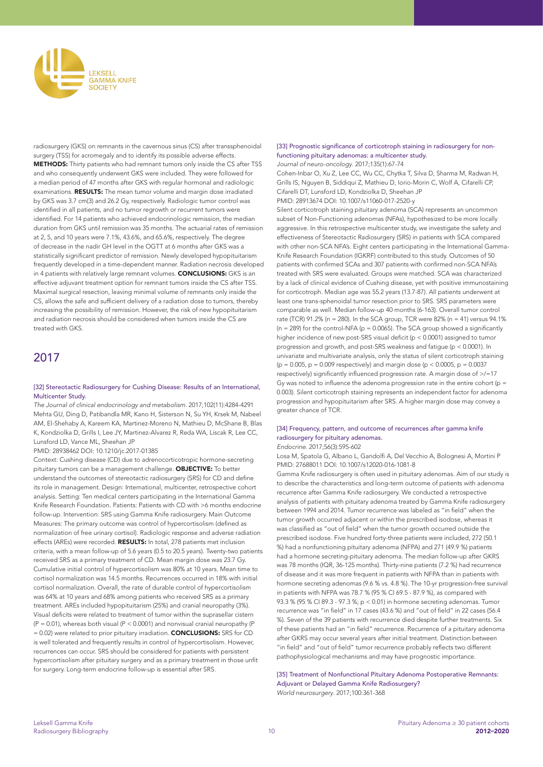

radiosurgery (GKS) on remnants in the cavernous sinus (CS) after transsphenoidal surgery (TSS) for acromegaly and to identify its possible adverse effects. METHODS: Thirty patients who had remnant tumors only inside the CS after TSS and who consequently underwent GKS were included. They were followed for a median period of 47 months after GKS with regular hormonal and radiologic examinations. RESULTS: The mean tumor volume and margin dose irradiated by GKS was 3.7 cm(3) and 26.2 Gy, respectively. Radiologic tumor control was identified in all patients, and no tumor regrowth or recurrent tumors were identified. For 14 patients who achieved endocrinologic remission, the median duration from GKS until remission was 35 months. The actuarial rates of remission at 2, 5, and 10 years were 7.1%, 43.6%, and 65.6%, respectively. The degree of decrease in the nadir GH level in the OGTT at 6 months after GKS was a statistically significant predictor of remission. Newly developed hypopituitarism frequently developed in a time-dependent manner. Radiation necrosis developed in 4 patients with relatively large remnant volumes. CONCLUSIONS: GKS is an effective adjuvant treatment option for remnant tumors inside the CS after TSS. Maximal surgical resection, leaving minimal volume of remnants only inside the CS, allows the safe and sufficient delivery of a radiation dose to tumors, thereby increasing the possibility of remission. However, the risk of new hypopituitarism and radiation necrosis should be considered when tumors inside the CS are treated with GKS.

# 2017

# [32] Stereotactic Radiosurgery for Cushing Disease: Results of an International, Multicenter Study.

*The Journal of clinical endocrinology and metabolism*. 2017;102(11):4284-4291 Mehta GU, Ding D, Patibandla MR, Kano H, Sisterson N, Su YH, Krsek M, Nabeel AM, El-Shehaby A, Kareem KA, Martinez-Moreno N, Mathieu D, McShane B, Blas K, Kondziolka D, Grills I, Lee JY, Martinez-Alvarez R, Reda WA, Liscak R, Lee CC, Lunsford LD, Vance ML, Sheehan JP

PMID: 28938462 DOI: 10.1210/jc.2017-01385

Context: Cushing disease (CD) due to adrenocorticotropic hormone-secreting pituitary tumors can be a management challenge. OBJECTIVE: To better understand the outcomes of stereotactic radiosurgery (SRS) for CD and define its role in management. Design: International, multicenter, retrospective cohort analysis. Setting: Ten medical centers participating in the International Gamma Knife Research Foundation. Patients: Patients with CD with >6 months endocrine follow-up. Intervention: SRS using Gamma Knife radiosurgery. Main Outcome Measures: The primary outcome was control of hypercortisolism (defined as normalization of free urinary cortisol). Radiologic response and adverse radiation effects (AREs) were recorded. RESULTS: In total, 278 patients met inclusion criteria, with a mean follow-up of 5.6 years (0.5 to 20.5 years). Twenty-two patients received SRS as a primary treatment of CD. Mean margin dose was 23.7 Gy. Cumulative initial control of hypercortisolism was 80% at 10 years. Mean time to cortisol normalization was 14.5 months. Recurrences occurred in 18% with initial cortisol normalization. Overall, the rate of durable control of hypercortisolism was 64% at 10 years and 68% among patients who received SRS as a primary treatment. AREs included hypopituitarism (25%) and cranial neuropathy (3%). Visual deficits were related to treatment of tumor within the suprasellar cistern  $(P = 0.01)$ , whereas both visual  $(P < 0.0001)$  and nonvisual cranial neuropathy (P) = 0.02) were related to prior pituitary irradiation. CONCLUSIONS: SRS for CD is well tolerated and frequently results in control of hypercortisolism. However, recurrences can occur. SRS should be considered for patients with persistent hypercortisolism after pituitary surgery and as a primary treatment in those unfit for surgery. Long-term endocrine follow-up is essential after SRS.

### [33] Prognostic significance of corticotroph staining in radiosurgery for nonfunctioning pituitary adenomas: a multicenter study. *Journal of neuro-oncology*. 2017;135(1):67-74

Cohen-Inbar O, Xu Z, Lee CC, Wu CC, Chytka T, Silva D, Sharma M, Radwan H, Grills IS, Nguyen B, Siddiqui Z, Mathieu D, Iorio-Morin C, Wolf A, Cifarelli CP, Cifarelli DT, Lunsford LD, Kondziolka D, Sheehan JP PMID: 28913674 DOI: 10.1007/s11060-017-2520-y

Silent corticotroph staining pituitary adenoma (SCA) represents an uncommon subset of Non-Functioning adenomas (NFAs), hypothesized to be more locally aggressive. In this retrospective multicenter study, we investigate the safety and effectiveness of Stereotactic Radiosurgery (SRS) in patients with SCA compared with other non-SCA NFA's. Eight centers participating in the International Gamma-Knife Research Foundation (IGKRF) contributed to this study. Outcomes of 50 patients with confirmed SCAs and 307 patients with confirmed non-SCA NFA's treated with SRS were evaluated. Groups were matched. SCA was characterized by a lack of clinical evidence of Cushing disease, yet with positive immunostaining for corticotroph. Median age was 55.2 years (13.7-87). All patients underwent at least one trans-sphenoidal tumor resection prior to SRS. SRS parameters were comparable as well. Median follow-up 40 months (6-163). Overall tumor control rate (TCR) 91.2% (n = 280). In the SCA group, TCR were 82% (n = 41) versus 94.1%  $(n = 289)$  for the control-NFA ( $p = 0.0065$ ). The SCA group showed a significantly higher incidence of new post-SRS visual deficit (p < 0.0001) assigned to tumor progression and growth, and post-SRS weakness and fatigue (p < 0.0001). In univariate and multivariate analysis, only the status of silent corticotroph staining ( $p = 0.005$ ,  $p = 0.009$  respectively) and margin dose ( $p < 0.0005$ ,  $p = 0.0037$ respectively) significantly influenced progression rate. A margin dose of >/=17 Gy was noted to influence the adenoma progression rate in the entire cohort ( $p =$ 0.003). Silent corticotroph staining represents an independent factor for adenoma progression and hypopituitarism after SRS. A higher margin dose may convey a greater chance of TCR.

#### [34] Frequency, pattern, and outcome of recurrences after gamma knife radiosurgery for pituitary adenomas. *Endocrine*. 2017;56(3):595-602

Losa M, Spatola G, Albano L, Gandolfi A, Del Vecchio A, Bolognesi A, Mortini P PMID: 27688011 DOI: 10.1007/s12020-016-1081-8

Gamma Knife radiosurgery is often used in pituitary adenomas. Aim of our study is to describe the characteristics and long-term outcome of patients with adenoma recurrence after Gamma Knife radiosurgery. We conducted a retrospective analysis of patients with pituitary adenoma treated by Gamma Knife radiosurgery between 1994 and 2014. Tumor recurrence was labeled as "in field" when the tumor growth occurred adjacent or within the prescribed isodose, whereas it was classified as "out of field" when the tumor growth occurred outside the prescribed isodose. Five hundred forty-three patients were included, 272 (50.1 %) had a nonfunctioning pituitary adenoma (NFPA) and 271 (49.9 %) patients had a hormone secreting-pituitary adenoma. The median follow-up after GKRS was 78 months (IQR, 36-125 months). Thirty-nine patients (7.2 %) had recurrence of disease and it was more frequent in patients with NFPA than in patients with hormone secreting adenomas (9.6 % vs. 4.8 %). The 10-yr progression-free survival in patients with NFPA was 78.7 % (95 % CI 69.5 - 87.9 %), as compared with 93.3 % (95 % CI 89.3 - 97.3 %; p < 0.01) in hormone secreting adenomas. Tumor recurrence was "in field" in 17 cases (43.6 %) and "out of field" in 22 cases (56.4 %). Seven of the 39 patients with recurrence died despite further treatments. Six of these patients had an "in field" recurrence. Recurrence of a pituitary adenoma after GKRS may occur several years after initial treatment. Distinction between "in field" and "out of field" tumor recurrence probably reflects two different pathophysiological mechanisms and may have prognostic importance.

# [35] Treatment of Nonfunctional Pituitary Adenoma Postoperative Remnants: Adjuvant or Delayed Gamma Knife Radiosurgery? *World neurosurgery*. 2017;100:361-368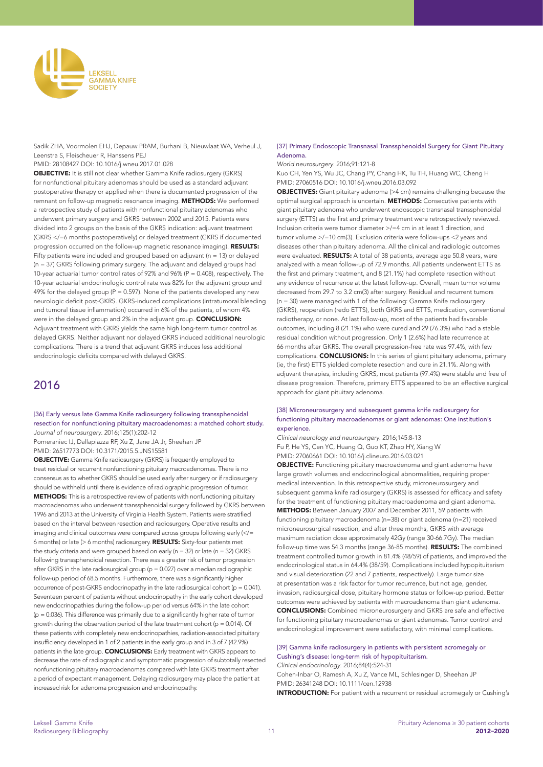

Sadik ZHA, Voormolen EHJ, Depauw PRAM, Burhani B, Nieuwlaat WA, Verheul J, Leenstra S, Fleischeuer R, Hanssens PEJ

# PMID: 28108427 DOI: 10.1016/j.wneu.2017.01.028

OBJECTIVE: It is still not clear whether Gamma Knife radiosurgery (GKRS) for nonfunctional pituitary adenomas should be used as a standard adjuvant postoperative therapy or applied when there is documented progression of the remnant on follow-up magnetic resonance imaging. METHODS: We performed a retrospective study of patients with nonfunctional pituitary adenomas who underwent primary surgery and GKRS between 2002 and 2015. Patients were divided into 2 groups on the basis of the GKRS indication: adjuvant treatment (GKRS </=6 months postoperatively) or delayed treatment (GKRS if documented progression occurred on the follow-up magnetic resonance imaging). RESULTS: Fifty patients were included and grouped based on adjuvant ( $n = 13$ ) or delayed (n = 37) GKRS following primary surgery. The adjuvant and delayed groups had 10-year actuarial tumor control rates of 92% and 96% (P = 0.408), respectively. The 10-year actuarial endocrinologic control rate was 82% for the adjuvant group and 49% for the delayed group ( $P = 0.597$ ). None of the patients developed any new neurologic deficit post-GKRS. GKRS-induced complications (intratumoral bleeding and tumoral tissue inflammation) occurred in 6% of the patients, of whom 4% were in the delayed group and 2% in the adjuvant group. **CONCLUSION:** Adjuvant treatment with GKRS yields the same high long-term tumor control as delayed GKRS. Neither adjuvant nor delayed GKRS induced additional neurologic complications. There is a trend that adjuvant GKRS induces less additional endocrinologic deficits compared with delayed GKRS.

# 2016

[36] Early versus late Gamma Knife radiosurgery following transsphenoidal resection for nonfunctioning pituitary macroadenomas: a matched cohort study. *Journal of neurosurgery*. 2016;125(1):202-12

Pomeraniec IJ, Dallapiazza RF, Xu Z, Jane JA Jr, Sheehan JP PMID: 26517773 DOI: 10.3171/2015.5.JNS15581

OBJECTIVE: Gamma Knife radiosurgery (GKRS) is frequently employed to treat residual or recurrent nonfunctioning pituitary macroadenomas. There is no consensus as to whether GKRS should be used early after surgery or if radiosurgery should be withheld until there is evidence of radiographic progression of tumor. METHODS: This is a retrospective review of patients with nonfunctioning pituitary macroadenomas who underwent transsphenoidal surgery followed by GKRS between 1996 and 2013 at the University of Virginia Health System. Patients were stratified based on the interval between resection and radiosurgery. Operative results and imaging and clinical outcomes were compared across groups following early (</= 6 months) or late (> 6 months) radiosurgery. RESULTS: Sixty-four patients met the study criteria and were grouped based on early ( $n = 32$ ) or late ( $n = 32$ ) GKRS following transsphenoidal resection. There was a greater risk of tumor progression after GKRS in the late radiosurgical group ( $p = 0.027$ ) over a median radiographic follow-up period of 68.5 months. Furthermore, there was a significantly higher occurrence of post-GKRS endocrinopathy in the late radiosurgical cohort (p = 0.041). Seventeen percent of patients without endocrinopathy in the early cohort developed new endocrinopathies during the follow-up period versus 64% in the late cohort  $(p = 0.036)$ . This difference was primarily due to a significantly higher rate of tumor growth during the observation period of the late treatment cohort ( $p = 0.014$ ). Of these patients with completely new endocrinopathies, radiation-associated pituitary insufficiency developed in 1 of 2 patients in the early group and in 3 of 7 (42.9%) patients in the late group. **CONCLUSIONS:** Early treatment with GKRS appears to decrease the rate of radiographic and symptomatic progression of subtotally resected nonfunctioning pituitary macroadenomas compared with late GKRS treatment after a period of expectant management. Delaying radiosurgery may place the patient at increased risk for adenoma progression and endocrinopathy.

# [37] Primary Endoscopic Transnasal Transsphenoidal Surgery for Giant Pituitary Adenoma.

*World neurosurgery*. 2016;91:121-8

Kuo CH, Yen YS, Wu JC, Chang PY, Chang HK, Tu TH, Huang WC, Cheng H PMID: 27060516 DOI: 10.1016/j.wneu.2016.03.092

OBJECTIVES: Giant pituitary adenoma (>4 cm) remains challenging because the optimal surgical approach is uncertain. METHODS: Consecutive patients with giant pituitary adenoma who underwent endoscopic transnasal transsphenoidal surgery (ETTS) as the first and primary treatment were retrospectively reviewed. Inclusion criteria were tumor diameter >/=4 cm in at least 1 direction, and tumor volume >/=10 cm(3). Exclusion criteria were follow-ups <2 years and diseases other than pituitary adenoma. All the clinical and radiologic outcomes were evaluated. **RESULTS:** A total of 38 patients, average age 50.8 years, were analyzed with a mean follow-up of 72.9 months. All patients underwent ETTS as the first and primary treatment, and 8 (21.1%) had complete resection without any evidence of recurrence at the latest follow-up. Overall, mean tumor volume decreased from 29.7 to 3.2 cm(3) after surgery. Residual and recurrent tumors (n = 30) were managed with 1 of the following: Gamma Knife radiosurgery (GKRS), reoperation (redo ETTS), both GKRS and ETTS, medication, conventional radiotherapy, or none. At last follow-up, most of the patients had favorable outcomes, including 8 (21.1%) who were cured and 29 (76.3%) who had a stable residual condition without progression. Only 1 (2.6%) had late recurrence at 66 months after GKRS. The overall progression-free rate was 97.4%, with few complications. **CONCLUSIONS:** In this series of giant pituitary adenoma, primary (ie, the first) ETTS yielded complete resection and cure in 21.1%. Along with adjuvant therapies, including GKRS, most patients (97.4%) were stable and free of disease progression. Therefore, primary ETTS appeared to be an effective surgical approach for giant pituitary adenoma.

## [38] Microneurosurgery and subsequent gamma knife radiosurgery for functioning pituitary macroadenomas or giant adenomas: One institution's experience.

*Clinical neurology and neurosurgery*. 2016;145:8-13 Fu P, He YS, Cen YC, Huang Q, Guo KT, Zhao HY, Xiang W PMID: 27060661 DOI: 10.1016/j.clineuro.2016.03.021

**OBJECTIVE:** Functioning pituitary macroadenoma and giant adenoma have large growth volumes and endocrinological abnormalities, requiring proper medical intervention. In this retrospective study, microneurosurgery and subsequent gamma knife radiosurgery (GKRS) is assessed for efficacy and safety for the treatment of functioning pituitary macroadenoma and giant adenoma. METHODS: Between January 2007 and December 2011, 59 patients with functioning pituitary macroadenoma (n=38) or giant adenoma (n=21) received microneurosurgical resection, and after three months, GKRS with average maximum radiation dose approximately 42Gy (range 30-66.7Gy). The median follow-up time was 54.3 months (range 36-85 months). RESULTS: The combined treatment controlled tumor growth in 81.4% (48/59) of patients, and improved the endocrinological status in 64.4% (38/59). Complications included hypopituitarism and visual deterioration (22 and 7 patients, respectively). Large tumor size at presentation was a risk factor for tumor recurrence, but not age, gender, invasion, radiosurgical dose, pituitary hormone status or follow-up period. Better outcomes were achieved by patients with macroadenoma than giant adenoma. CONCLUSIONS: Combined microneurosurgery and GKRS are safe and effective for functioning pituitary macroadenomas or giant adenomas. Tumor control and endocrinological improvement were satisfactory, with minimal complications.

# [39] Gamma knife radiosurgery in patients with persistent acromegaly or Cushing's disease: long-term risk of hypopituitarism. *Clinical endocrinology*. 2016;84(4):524-31

Cohen-Inbar O, Ramesh A, Xu Z, Vance ML, Schlesinger D, Sheehan JP PMID: 26341248 DOI: 10.1111/cen.12938 **INTRODUCTION:** For patient with a recurrent or residual acromegaly or Cushing's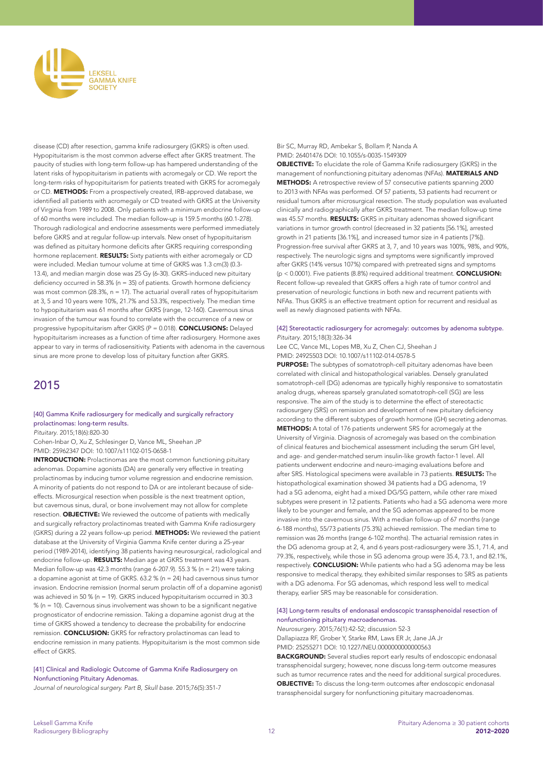

disease (CD) after resection, gamma knife radiosurgery (GKRS) is often used. Hypopituitarism is the most common adverse effect after GKRS treatment. The paucity of studies with long-term follow-up has hampered understanding of the latent risks of hypopituitarism in patients with acromegaly or CD. We report the long-term risks of hypopituitarism for patients treated with GKRS for acromegaly or CD. METHODS: From a prospectively created, IRB-approved database, we identified all patients with acromegaly or CD treated with GKRS at the University of Virginia from 1989 to 2008. Only patients with a minimum endocrine follow-up of 60 months were included. The median follow-up is 159.5 months (60.1-278). Thorough radiological and endocrine assessments were performed immediately before GKRS and at regular follow-up intervals. New onset of hypopituitarism was defined as pituitary hormone deficits after GKRS requiring corresponding hormone replacement. **RESULTS:** Sixty patients with either acromegaly or CD were included. Median tumour volume at time of GKRS was 1.3 cm(3) (0.3- 13.4), and median margin dose was 25 Gy (6-30). GKRS-induced new pituitary deficiency occurred in 58.3% ( $n = 35$ ) of patients. Growth hormone deficiency was most common (28.3%,  $n = 17$ ). The actuarial overall rates of hypopituitarism at 3, 5 and 10 years were 10%, 21.7% and 53.3%, respectively. The median time to hypopituitarism was 61 months after GKRS (range, 12-160). Cavernous sinus invasion of the tumour was found to correlate with the occurrence of a new or progressive hypopituitarism after GKRS (P = 0.018). CONCLUSIONS: Delayed hypopituitarism increases as a function of time after radiosurgery. Hormone axes appear to vary in terms of radiosensitivity. Patients with adenoma in the cavernous sinus are more prone to develop loss of pituitary function after GKRS.

# 2015

# [40] Gamma Knife radiosurgery for medically and surgically refractory prolactinomas: long-term results.

*Pituitary*. 2015;18(6):820-30

Cohen-Inbar O, Xu Z, Schlesinger D, Vance ML, Sheehan JP PMID: 25962347 DOI: 10.1007/s11102-015-0658-1

INTRODUCTION: Prolactinomas are the most common functioning pituitary adenomas. Dopamine agonists (DA) are generally very effective in treating prolactinomas by inducing tumor volume regression and endocrine remission. A minority of patients do not respond to DA or are intolerant because of sideeffects. Microsurgical resection when possible is the next treatment option, but cavernous sinus, dural, or bone involvement may not allow for complete resection. **OBJECTIVE:** We reviewed the outcome of patients with medically and surgically refractory prolactinomas treated with Gamma Knife radiosurgery (GKRS) during a 22 years follow-up period. METHODS: We reviewed the patient database at the University of Virginia Gamma Knife center during a 25-year period (1989-2014), identifying 38 patients having neurosurgical, radiological and endocrine follow-up. RESULTS: Median age at GKRS treatment was 43 years. Median follow-up was 42.3 months (range 6-207.9). 55.3 % (n = 21) were taking a dopamine agonist at time of GKRS. 63.2 % (n = 24) had cavernous sinus tumor invasion. Endocrine remission (normal serum prolactin off of a dopamine agonist) was achieved in 50 % (n = 19). GKRS induced hypopituitarism occurred in 30.3 % (n = 10). Cavernous sinus involvement was shown to be a significant negative prognosticator of endocrine remission. Taking a dopamine agonist drug at the time of GKRS showed a tendency to decrease the probability for endocrine remission. **CONCLUSION:** GKRS for refractory prolactinomas can lead to endocrine remission in many patients. Hypopituitarism is the most common side effect of GKRS.

[41] Clinical and Radiologic Outcome of Gamma Knife Radiosurgery on Nonfunctioning Pituitary Adenomas.

*Journal of neurological surgery. Part B, Skull base*. 2015;76(5):351-7

Bir SC, Murray RD, Ambekar S, Bollam P, Nanda A PMID: 26401476 DOI: 10.1055/s-0035-1549309

**OBJECTIVE:** To elucidate the role of Gamma Knife radiosurgery (GKRS) in the management of nonfunctioning pituitary adenomas (NFAs). MATERIALS AND METHODS: A retrospective review of 57 consecutive patients spanning 2000 to 2013 with NFAs was performed. Of 57 patients, 53 patients had recurrent or residual tumors after microsurgical resection. The study population was evaluated clinically and radiographically after GKRS treatment. The median follow-up time was 45.57 months. RESULTS: GKRS in pituitary adenomas showed significant variations in tumor growth control (decreased in 32 patients [56.1%], arrested growth in 21 patients [36.1%], and increased tumor size in 4 patients [7%]). Progression-free survival after GKRS at 3, 7, and 10 years was 100%, 98%, and 90%, respectively. The neurologic signs and symptoms were significantly improved after GKRS (14% versus 107%) compared with pretreated signs and symptoms ( $p < 0.0001$ ). Five patients (8.8%) required additional treatment. **CONCLUSION:** Recent follow-up revealed that GKRS offers a high rate of tumor control and preservation of neurologic functions in both new and recurrent patients with NFAs. Thus GKRS is an effective treatment option for recurrent and residual as well as newly diagnosed patients with NFAs.

### [42] Stereotactic radiosurgery for acromegaly: outcomes by adenoma subtype. *Pituitary*. 2015;18(3):326-34

Lee CC, Vance ML, Lopes MB, Xu Z, Chen CJ, Sheehan J PMID: 24925503 DOI: 10.1007/s11102-014-0578-5

PURPOSE: The subtypes of somatotroph-cell pituitary adenomas have been correlated with clinical and histopathological variables. Densely granulated somatotroph-cell (DG) adenomas are typically highly responsive to somatostatin analog drugs, whereas sparsely granulated somatotroph-cell (SG) are less responsive. The aim of the study is to determine the effect of stereotactic radiosurgery (SRS) on remission and development of new pituitary deficiency according to the different subtypes of growth hormone (GH) secreting adenomas. METHODS: A total of 176 patients underwent SRS for acromegaly at the University of Virginia. Diagnosis of acromegaly was based on the combination of clinical features and biochemical assessment including the serum GH level, and age- and gender-matched serum insulin-like growth factor-1 level. All patients underwent endocrine and neuro-imaging evaluations before and after SRS. Histological specimens were available in 73 patients. RESULTS: The histopathological examination showed 34 patients had a DG adenoma, 19 had a SG adenoma, eight had a mixed DG/SG pattern, while other rare mixed subtypes were present in 12 patients. Patients who had a SG adenoma were more likely to be younger and female, and the SG adenomas appeared to be more invasive into the cavernous sinus. With a median follow-up of 67 months (range 6-188 months), 55/73 patients (75.3%) achieved remission. The median time to remission was 26 months (range 6-102 months). The actuarial remission rates in the DG adenoma group at 2, 4, and 6 years post-radiosurgery were 35.1, 71.4, and 79.3%, respectively, while those in SG adenoma group were 35.4, 73.1, and 82.1%, respectively. **CONCLUSION:** While patients who had a SG adenoma may be less responsive to medical therapy, they exhibited similar responses to SRS as patients with a DG adenoma. For SG adenomas, which respond less well to medical therapy, earlier SRS may be reasonable for consideration.

# [43] Long-term results of endonasal endoscopic transsphenoidal resection of nonfunctioning pituitary macroadenomas.

*Neurosurgery*. 2015;76(1):42-52; discussion 52-3

Dallapiazza RF, Grober Y, Starke RM, Laws ER Jr, Jane JA Jr PMID: 25255271 DOI: 10.1227/NEU.0000000000000563

BACKGROUND: Several studies report early results of endoscopic endonasal transsphenoidal surgery; however, none discuss long-term outcome measures such as tumor recurrence rates and the need for additional surgical procedures. OBJECTIVE: To discuss the long-term outcomes after endoscopic endonasal transsphenoidal surgery for nonfunctioning pituitary macroadenomas.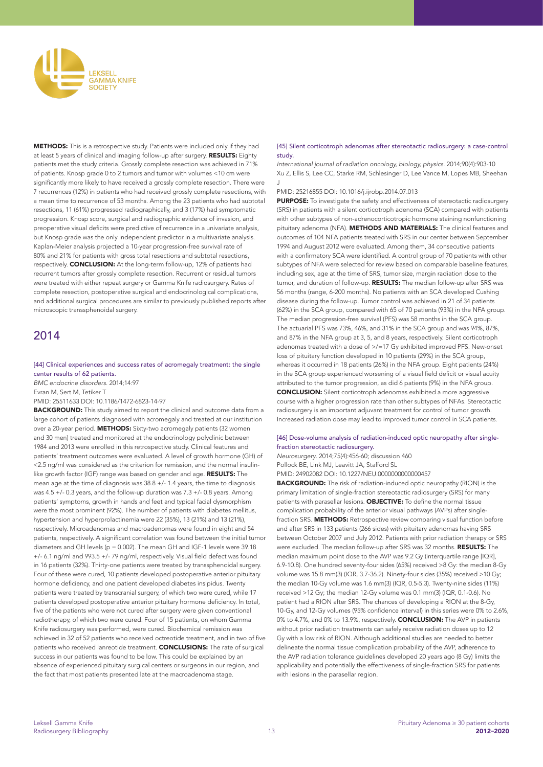

METHODS: This is a retrospective study. Patients were included only if they had at least 5 years of clinical and imaging follow-up after surgery. RESULTS: Eighty patients met the study criteria. Grossly complete resection was achieved in 71% of patients. Knosp grade 0 to 2 tumors and tumor with volumes <10 cm were significantly more likely to have received a grossly complete resection. There were 7 recurrences (12%) in patients who had received grossly complete resections, with a mean time to recurrence of 53 months. Among the 23 patients who had subtotal resections, 11 (61%) progressed radiographically, and 3 (17%) had symptomatic progression. Knosp score, surgical and radiographic evidence of invasion, and preoperative visual deficits were predictive of recurrence in a univariate analysis, but Knosp grade was the only independent predictor in a multivariate analysis. Kaplan-Meier analysis projected a 10-year progression-free survival rate of 80% and 21% for patients with gross total resections and subtotal resections, respectively. CONCLUSION: At the long-term follow-up, 12% of patients had recurrent tumors after grossly complete resection. Recurrent or residual tumors were treated with either repeat surgery or Gamma Knife radiosurgery. Rates of complete resection, postoperative surgical and endocrinological complications, and additional surgical procedures are similar to previously published reports after microscopic transsphenoidal surgery.

# 2014

### [44] Clinical experiences and success rates of acromegaly treatment: the single center results of 62 patients.

*BMC endocrine disorders*. 2014;14:97 Evran M, Sert M, Tetiker T

PMID: 25511633 DOI: 10.1186/1472-6823-14-97

**BACKGROUND:** This study aimed to report the clinical and outcome data from a large cohort of patients diagnosed with acromegaly and treated at our institution over a 20-year period. METHODS: Sixty-two acromegaly patients (32 women and 30 men) treated and monitored at the endocrinology polyclinic between 1984 and 2013 were enrolled in this retrospective study. Clinical features and patients' treatment outcomes were evaluated. A level of growth hormone (GH) of <2.5 ng/ml was considered as the criterion for remission, and the normal insulinlike growth factor (IGF) range was based on gender and age. RESULTS: The mean age at the time of diagnosis was 38.8 +/- 1.4 years, the time to diagnosis was 4.5 +/- 0.3 years, and the follow-up duration was 7.3 +/- 0.8 years. Among patients' symptoms, growth in hands and feet and typical facial dysmorphism were the most prominent (92%). The number of patients with diabetes mellitus, hypertension and hyperprolactinemia were 22 (35%), 13 (21%) and 13 (21%), respectively. Microadenomas and macroadenomas were found in eight and 54 patients, respectively. A significant correlation was found between the initial tumor diameters and GH levels (p = 0.002). The mean GH and IGF-1 levels were 39.18 +/- 6.1 ng/ml and 993.5 +/- 79 ng/ml, respectively. Visual field defect was found in 16 patients (32%). Thirty-one patients were treated by transsphenoidal surgery. Four of these were cured, 10 patients developed postoperative anterior pituitary hormone deficiency, and one patient developed diabetes insipidus. Twenty patients were treated by transcranial surgery, of which two were cured, while 17 patients developed postoperative anterior pituitary hormone deficiency. In total, five of the patients who were not cured after surgery were given conventional radiotherapy, of which two were cured. Four of 15 patients, on whom Gamma Knife radiosurgery was performed, were cured. Biochemical remission was achieved in 32 of 52 patients who received octreotide treatment, and in two of five patients who received lanreotide treatment. CONCLUSIONS: The rate of surgical success in our patients was found to be low. This could be explained by an absence of experienced pituitary surgical centers or surgeons in our region, and the fact that most patients presented late at the macroadenoma stage.

# [45] Silent corticotroph adenomas after stereotactic radiosurgery: a case-control study.

*International journal of radiation oncology, biology, physics*. 2014;90(4):903-10 Xu Z, Ellis S, Lee CC, Starke RM, Schlesinger D, Lee Vance M, Lopes MB, Sheehan J

### PMID: 25216855 DOI: 10.1016/j.ijrobp.2014.07.013

PURPOSE: To investigate the safety and effectiveness of stereotactic radiosurgery (SRS) in patients with a silent corticotroph adenoma (SCA) compared with patients with other subtypes of non-adrenocorticotropic hormone staining nonfunctioning pituitary adenoma (NFA). **METHODS AND MATERIALS:** The clinical features and outcomes of 104 NFA patients treated with SRS in our center between September 1994 and August 2012 were evaluated. Among them, 34 consecutive patients with a confirmatory SCA were identified. A control group of 70 patients with other subtypes of NFA were selected for review based on comparable baseline features, including sex, age at the time of SRS, tumor size, margin radiation dose to the tumor, and duration of follow-up. RESULTS: The median follow-up after SRS was 56 months (range, 6-200 months). No patients with an SCA developed Cushing disease during the follow-up. Tumor control was achieved in 21 of 34 patients (62%) in the SCA group, compared with 65 of 70 patients (93%) in the NFA group. The median progression-free survival (PFS) was 58 months in the SCA group. The actuarial PFS was 73%, 46%, and 31% in the SCA group and was 94%, 87%, and 87% in the NFA group at 3, 5, and 8 years, respectively. Silent corticotroph adenomas treated with a dose of  $\ge$ /=17 Gy exhibited improved PFS. New-onset loss of pituitary function developed in 10 patients (29%) in the SCA group, whereas it occurred in 18 patients (26%) in the NFA group. Eight patients (24%) in the SCA group experienced worsening of a visual field deficit or visual acuity attributed to the tumor progression, as did 6 patients (9%) in the NFA group. CONCLUSION: Silent corticotroph adenomas exhibited a more aggressive course with a higher progression rate than other subtypes of NFAs. Stereotactic radiosurgery is an important adjuvant treatment for control of tumor growth. Increased radiation dose may lead to improved tumor control in SCA patients.

# [46] Dose-volume analysis of radiation-induced optic neuropathy after singlefraction stereotactic radiosurgery.

*Neurosurgery*. 2014;75(4):456-60; discussion 460 Pollock BE, Link MJ, Leavitt JA, Stafford SL

PMID: 24902082 DOI: 10.1227/NEU.0000000000000457

BACKGROUND: The risk of radiation-induced optic neuropathy (RION) is the primary limitation of single-fraction stereotactic radiosurgery (SRS) for many patients with parasellar lesions. OBJECTIVE: To define the normal tissue complication probability of the anterior visual pathways (AVPs) after singlefraction SRS. **METHODS:** Retrospective review comparing visual function before and after SRS in 133 patients (266 sides) with pituitary adenomas having SRS between October 2007 and July 2012. Patients with prior radiation therapy or SRS were excluded. The median follow-up after SRS was 32 months. RESULTS: The median maximum point dose to the AVP was 9.2 Gy (interquartile range [IQR], 6.9-10.8). One hundred seventy-four sides (65%) received >8 Gy: the median 8-Gy volume was 15.8 mm(3) (IQR, 3.7-36.2). Ninety-four sides (35%) received >10 Gy; the median 10-Gy volume was 1.6 mm(3) (IQR, 0.5-5.3). Twenty-nine sides (11%) received >12 Gy; the median 12-Gy volume was 0.1 mm(3) (IQR, 0.1-0.6). No patient had a RION after SRS. The chances of developing a RION at the 8-Gy, 10-Gy, and 12-Gy volumes (95% confidence interval) in this series were 0% to 2.6%, 0% to 4.7%, and 0% to 13.9%, respectively. **CONCLUSION:** The AVP in patients without prior radiation treatments can safely receive radiation doses up to 12 Gy with a low risk of RION. Although additional studies are needed to better delineate the normal tissue complication probability of the AVP, adherence to the AVP radiation tolerance guidelines developed 20 years ago (8 Gy) limits the applicability and potentially the effectiveness of single-fraction SRS for patients with lesions in the parasellar region.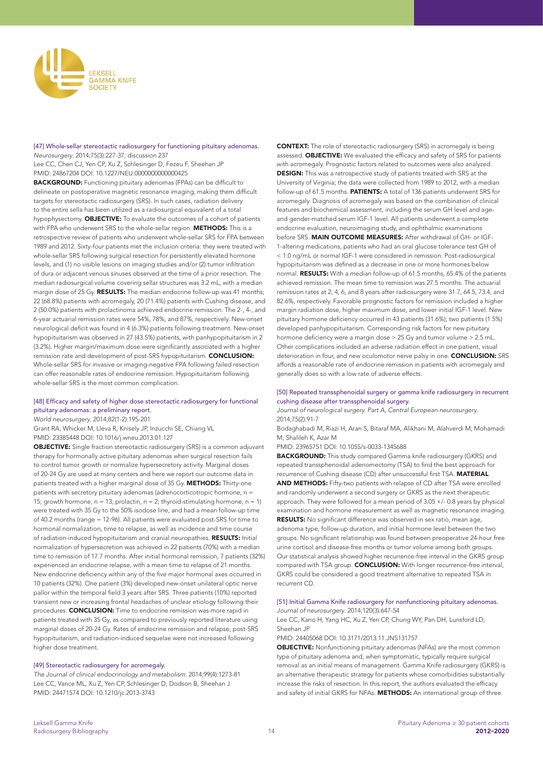

[47] Whole-sellar stereotactic radiosurgery for functioning pituitary adenomas. *Neurosurgery*. 2014;75(3):227-37; discussion 237

Lee CC, Chen CJ, Yen CP, Xu Z, Schlesinger D, Fezeu F, Sheehan JP PMID: 24867204 DOI: 10.1227/NEU.0000000000000425

BACKGROUND: Functioning pituitary adenomas (FPAs) can be difficult to delineate on postoperative magnetic resonance imaging, making them difficult targets for stereotactic radiosurgery (SRS). In such cases, radiation delivery to the entire sella has been utilized as a radiosurgical equivalent of a total hypophysectomy. **OBJECTIVE:** To evaluate the outcomes of a cohort of patients with FPA who underwent SRS to the whole-sellar region. **METHODS:** This is a retrospective review of patients who underwent whole-sellar SRS for FPA between 1989 and 2012. Sixty-four patients met the inclusion criteria: they were treated with whole-sellar SRS following surgical resection for persistently elevated hormone levels, and (1) no visible lesions on imaging studies and/or (2) tumor infiltration of dura or adjacent venous sinuses observed at the time of a prior resection. The median radiosurgical volume covering sellar structures was 3.2 mL, with a median margin dose of 25 Gy. RESULTS: The median endocrine follow-up was 41 months; 22 (68.8%) patients with acromegaly, 20 (71.4%) patients with Cushing disease, and 2 (50.0%) patients with prolactinoma achieved endocrine remission. The 2-4-, and 6-year actuarial remission rates were 54%, 78%, and 87%, respectively. New-onset neurological deficit was found in 4 (6.3%) patients following treatment. New-onset hypopituitarism was observed in 27 (43.5%) patients, with panhypopituitarism in 2 (3.2%). Higher margin/maximum dose were significantly associated with a higher remission rate and development of post-SRS hypopituitarism. CONCLUSION: Whole-sellar SRS for invasive or imaging-negative FPA following failed resection can offer reasonable rates of endocrine remission. Hypopituitarism following whole-sellar SRS is the most common complication.

# [48] Efficacy and safety of higher dose stereotactic radiosurgery for functional pituitary adenomas: a preliminary report.

*World neurosurgery*. 2014;82(1-2):195-201

Grant RA, Whicker M, Lleva R, Knisely JP, Inzucchi SE, Chiang VL PMID: 23385448 DOI: 10.1016/j.wneu.2013.01.127

OBJECTIVE: Single fraction stereotactic radiosurgery (SRS) is a common adjuvant therapy for hormonally active pituitary adenomas when surgical resection fails to control tumor growth or normalize hypersecretory activity. Marginal doses of 20-24 Gy are used at many centers and here we report our outcome data in patients treated with a higher marginal dose of 35 Gy. METHODS: Thirty-one patients with secretory pituitary adenomas (adrenocorticotropic hormone, n = 15; growth hormone,  $n = 13$ ; prolactin,  $n = 2$ ; thyroid-stimulating hormone,  $n = 1$ ) were treated with 35 Gy to the 50% isodose line, and had a mean follow-up time of 40.2 months (range = 12-96). All patients were evaluated post-SRS for time to hormonal normalization, time to relapse, as well as incidence and time course of radiation-induced hypopituitarism and cranial neuropathies. RESULTS: Initial normalization of hypersecretion was achieved in 22 patients (70%) with a median time to remission of 17.7 months. After initial hormonal remission, 7 patients (32%) experienced an endocrine relapse, with a mean time to relapse of 21 months. New endocrine deficiency within any of the five major hormonal axes occurred in 10 patients (32%). One patient (3%) developed new-onset unilateral optic nerve pallor within the temporal field 3 years after SRS. Three patients (10%) reported transient new or increasing frontal headaches of unclear etiology following their procedures. CONCLUSION: Time to endocrine remission was more rapid in patients treated with 35 Gy, as compared to previously reported literature using marginal doses of 20-24 Gy. Rates of endocrine remission and relapse, post-SRS hypopituitarism, and radiation-induced sequelae were not increased following higher dose treatment.

# [49] Stereotactic radiosurgery for acromegaly.

*The Journal of clinical endocrinology and metabolism*. 2014;99(4):1273-81 Lee CC, Vance ML, Xu Z, Yen CP, Schlesinger D, Dodson B, Sheehan J PMID: 24471574 DOI: 10.1210/jc.2013-3743

CONTEXT: The role of stereotactic radiosurgery (SRS) in acromegaly is being assessed. **OBJECTIVE:** We evaluated the efficacy and safety of SRS for patients with acromegaly. Prognostic factors related to outcomes were also analyzed. **DESIGN:** This was a retrospective study of patients treated with SRS at the University of Virginia; the data were collected from 1989 to 2012, with a median follow-up of 61.5 months. PATIENTS: A total of 136 patients underwent SRS for acromegaly. Diagnosis of acromegaly was based on the combination of clinical features and biochemical assessment, including the serum GH level and ageand gender-matched serum IGF-1 level. All patients underwent a complete endocrine evaluation, neuroimaging study, and ophthalmic examinations before SRS. MAIN OUTCOME MEASURES: After withdrawal of GH- or IGF-1-altering medications, patients who had an oral glucose tolerance test GH of < 1.0 ng/mL or normal IGF-1 were considered in remission. Post-radiosurgical hypopituitarism was defined as a decrease in one or more hormones below normal. RESULTS: With a median follow-up of 61.5 months, 65.4% of the patients achieved remission. The mean time to remission was 27.5 months. The actuarial remission rates at 2, 4, 6, and 8 years after radiosurgery were 31.7, 64.5, 73.4, and 82.6%, respectively. Favorable prognostic factors for remission included a higher margin radiation dose, higher maximum dose, and lower initial IGF-1 level. New pituitary hormone deficiency occurred in 43 patients (31.6%); two patients (1.5%) developed panhypopituitarism. Corresponding risk factors for new pituitary hormone deficiency were a margin dose > 25 Gy and tumor volume > 2.5 mL. Other complications included an adverse radiation effect in one patient, visual deterioration in four, and new oculomotor nerve palsy in one. **CONCLUSION:** SRS affords a reasonable rate of endocrine remission in patients with acromegaly and generally does so with a low rate of adverse effects.

# [50] Repeated transsphenoidal surgery or gamma knife radiosurgery in recurrent cushing disease after transsphenoidal surgery.

*Journal of neurological surgery. Part A, Central European neurosurgery*. 2014;75(2):91-7

Bodaghabadi M, Riazi H, Aran S, Bitaraf MA, Alikhani M, Alahverdi M, Mohamadi M, Shalileh K, Azar M

PMID: 23965751 DOI: 10.1055/s-0033-1345688

BACKGROUND: This study compared Gamma knife radiosurgery (GKRS) and repeated transsphenoidal adenomectomy (TSA) to find the best approach for recurrence of Cushing disease (CD) after unsuccessful first TSA. MATERIAL AND METHODS: Fifty-two patients with relapse of CD after TSA were enrolled and randomly underwent a second surgery or GKRS as the next therapeutic approach. They were followed for a mean period of 3.05 +/- 0.8 years by physical examination and hormone measurement as well as magnetic resonance imaging. **RESULTS:** No significant difference was observed in sex ratio, mean age, adenoma type, follow-up duration, and initial hormone level between the two groups. No significant relationship was found between preoperative 24-hour free urine cortisol and disease-free months or tumor volume among both groups. Our statistical analysis showed higher recurrence-free interval in the GKRS group compared with TSA group. **CONCLUSION:** With longer recurrence-free interval, GKRS could be considered a good treatment alternative to repeated TSA in recurrent CD.

# [51] Initial Gamma Knife radiosurgery for nonfunctioning pituitary adenomas.

*Journal of neurosurgery*. 2014;120(3):647-54

Lee CC, Kano H, Yang HC, Xu Z, Yen CP, Chung WY, Pan DH, Lunsford LD, Sheehan JP

PMID: 24405068 DOI: 10.3171/2013.11.JNS131757

OBJECTIVE: Nonfunctioning pituitary adenomas (NFAs) are the most common type of pituitary adenoma and, when symptomatic, typically require surgical removal as an initial means of management. Gamma Knife radiosurgery (GKRS) is an alternative therapeutic strategy for patients whose comorbidities substantially increase the risks of resection. In this report, the authors evaluated the efficacy and safety of initial GKRS for NFAs. METHODS: An international group of three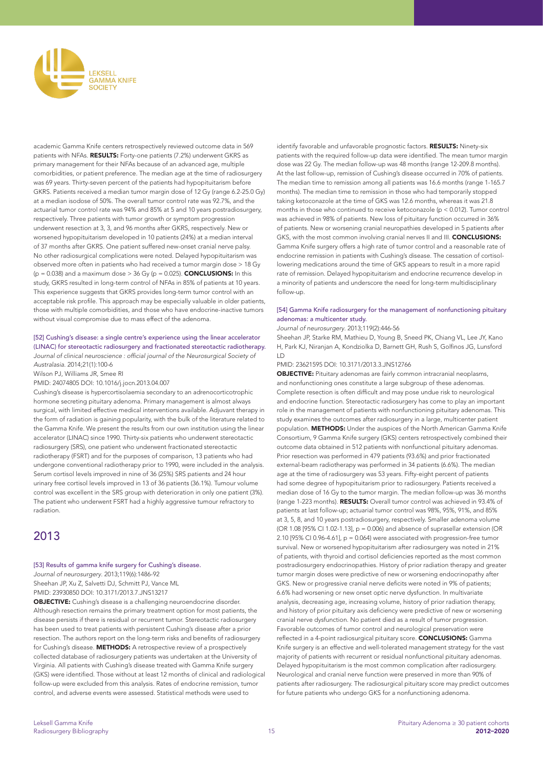

academic Gamma Knife centers retrospectively reviewed outcome data in 569 patients with NFAs. RESULTS: Forty-one patients (7.2%) underwent GKRS as primary management for their NFAs because of an advanced age, multiple comorbidities, or patient preference. The median age at the time of radiosurgery was 69 years. Thirty-seven percent of the patients had hypopituitarism before GKRS. Patients received a median tumor margin dose of 12 Gy (range 6.2-25.0 Gy) at a median isodose of 50%. The overall tumor control rate was 92.7%, and the actuarial tumor control rate was 94% and 85% at 5 and 10 years postradiosurgery, respectively. Three patients with tumor growth or symptom progression underwent resection at 3, 3, and 96 months after GKRS, respectively. New or worsened hypopituitarism developed in 10 patients (24%) at a median interval of 37 months after GKRS. One patient suffered new-onset cranial nerve palsy. No other radiosurgical complications were noted. Delayed hypopituitarism was observed more often in patients who had received a tumor margin dose > 18 Gy ( $p = 0.038$ ) and a maximum dose  $> 36$  Gy ( $p = 0.025$ ). **CONCLUSIONS:** In this study, GKRS resulted in long-term control of NFAs in 85% of patients at 10 years. This experience suggests that GKRS provides long-term tumor control with an acceptable risk profile. This approach may be especially valuable in older patients, those with multiple comorbidities, and those who have endocrine-inactive tumors without visual compromise due to mass effect of the adenoma.

# [52] Cushing's disease: a single centre's experience using the linear accelerator (LINAC) for stereotactic radiosurgery and fractionated stereotactic radiotherapy.

Journal of clinical neuroscience : official journal of the Neurosurgical Society of *Australasia*. 2014;21(1):100-6

Wilson PJ, Williams JR, Smee RI

PMID: 24074805 DOI: 10.1016/j.jocn.2013.04.007

Cushing's disease is hypercortisolaemia secondary to an adrenocorticotrophic hormone secreting pituitary adenoma. Primary management is almost always surgical, with limited effective medical interventions available. Adjuvant therapy in the form of radiation is gaining popularity, with the bulk of the literature related to the Gamma Knife. We present the results from our own institution using the linear accelerator (LINAC) since 1990. Thirty-six patients who underwent stereotactic radiosurgery (SRS), one patient who underwent fractionated stereotactic radiotherapy (FSRT) and for the purposes of comparison, 13 patients who had undergone conventional radiotherapy prior to 1990, were included in the analysis. Serum cortisol levels improved in nine of 36 (25%) SRS patients and 24 hour urinary free cortisol levels improved in 13 of 36 patients (36.1%). Tumour volume control was excellent in the SRS group with deterioration in only one patient (3%). The patient who underwent FSRT had a highly aggressive tumour refractory to radiation.

# 2013

# [53] Results of gamma knife surgery for Cushing's disease.

*Journal of neurosurgery*. 2013;119(6):1486-92 Sheehan JP, Xu Z, Salvetti DJ, Schmitt PJ, Vance ML PMID: 23930850 DOI: 10.3171/2013.7.JNS13217

OBJECTIVE: Cushing's disease is a challenging neuroendocrine disorder. Although resection remains the primary treatment option for most patients, the disease persists if there is residual or recurrent tumor. Stereotactic radiosurgery has been used to treat patients with persistent Cushing's disease after a prior resection. The authors report on the long-term risks and benefits of radiosurgery for Cushing's disease. **METHODS:** A retrospective review of a prospectively collected database of radiosurgery patients was undertaken at the University of Virginia. All patients with Cushing's disease treated with Gamma Knife surgery (GKS) were identified. Those without at least 12 months of clinical and radiological follow-up were excluded from this analysis. Rates of endocrine remission, tumor control, and adverse events were assessed. Statistical methods were used to

identify favorable and unfavorable prognostic factors. RESULTS: Ninety-six patients with the required follow-up data were identified. The mean tumor margin dose was 22 Gy. The median follow-up was 48 months (range 12-209.8 months). At the last follow-up, remission of Cushing's disease occurred in 70% of patients. The median time to remission among all patients was 16.6 months (range 1-165.7 months). The median time to remission in those who had temporarily stopped taking ketoconazole at the time of GKS was 12.6 months, whereas it was 21.8 months in those who continued to receive ketoconazole (p < 0.012). Tumor control was achieved in 98% of patients. New loss of pituitary function occurred in 36% of patients. New or worsening cranial neuropathies developed in 5 patients after GKS, with the most common involving cranial nerves II and III. CONCLUSIONS: Gamma Knife surgery offers a high rate of tumor control and a reasonable rate of endocrine remission in patients with Cushing's disease. The cessation of cortisollowering medications around the time of GKS appears to result in a more rapid rate of remission. Delayed hypopituitarism and endocrine recurrence develop in a minority of patients and underscore the need for long-term multidisciplinary follow-up.

# [54] Gamma Knife radiosurgery for the management of nonfunctioning pituitary adenomas: a multicenter study.

# *Journal of neurosurgery*. 2013;119(2):446-56

Sheehan JP, Starke RM, Mathieu D, Young B, Sneed PK, Chiang VL, Lee JY, Kano H, Park KJ, Niranjan A, Kondziolka D, Barnett GH, Rush S, Golfinos JG, Lunsford LD

### PMID: 23621595 DOI: 10.3171/2013.3.JNS12766

OBJECTIVE: Pituitary adenomas are fairly common intracranial neoplasms, and nonfunctioning ones constitute a large subgroup of these adenomas. Complete resection is often difficult and may pose undue risk to neurological and endocrine function. Stereotactic radiosurgery has come to play an important role in the management of patients with nonfunctioning pituitary adenomas. This study examines the outcomes after radiosurgery in a large, multicenter patient population. METHODS: Under the auspices of the North American Gamma Knife Consortium, 9 Gamma Knife surgery (GKS) centers retrospectively combined their outcome data obtained in 512 patients with nonfunctional pituitary adenomas. Prior resection was performed in 479 patients (93.6%) and prior fractionated external-beam radiotherapy was performed in 34 patients (6.6%). The median age at the time of radiosurgery was 53 years. Fifty-eight percent of patients had some degree of hypopituitarism prior to radiosurgery. Patients received a median dose of 16 Gy to the tumor margin. The median follow-up was 36 months (range 1-223 months). RESULTS: Overall tumor control was achieved in 93.4% of patients at last follow-up; actuarial tumor control was 98%, 95%, 91%, and 85% at 3, 5, 8, and 10 years postradiosurgery, respectively. Smaller adenoma volume (OR 1.08 [95% CI 1.02-1.13], p = 0.006) and absence of suprasellar extension (OR 2.10 [95% CI 0.96-4.61],  $p = 0.064$ ) were associated with progression-free tumor survival. New or worsened hypopituitarism after radiosurgery was noted in 21% of patients, with thyroid and cortisol deficiencies reported as the most common postradiosurgery endocrinopathies. History of prior radiation therapy and greater tumor margin doses were predictive of new or worsening endocrinopathy after GKS. New or progressive cranial nerve deficits were noted in 9% of patients; 6.6% had worsening or new onset optic nerve dysfunction. In multivariate analysis, decreasing age, increasing volume, history of prior radiation therapy, and history of prior pituitary axis deficiency were predictive of new or worsening cranial nerve dysfunction. No patient died as a result of tumor progression. Favorable outcomes of tumor control and neurological preservation were reflected in a 4-point radiosurgical pituitary score. CONCLUSIONS: Gamma Knife surgery is an effective and well-tolerated management strategy for the vast majority of patients with recurrent or residual nonfunctional pituitary adenomas. Delayed hypopituitarism is the most common complication after radiosurgery. Neurological and cranial nerve function were preserved in more than 90% of patients after radiosurgery. The radiosurgical pituitary score may predict outcomes for future patients who undergo GKS for a nonfunctioning adenoma.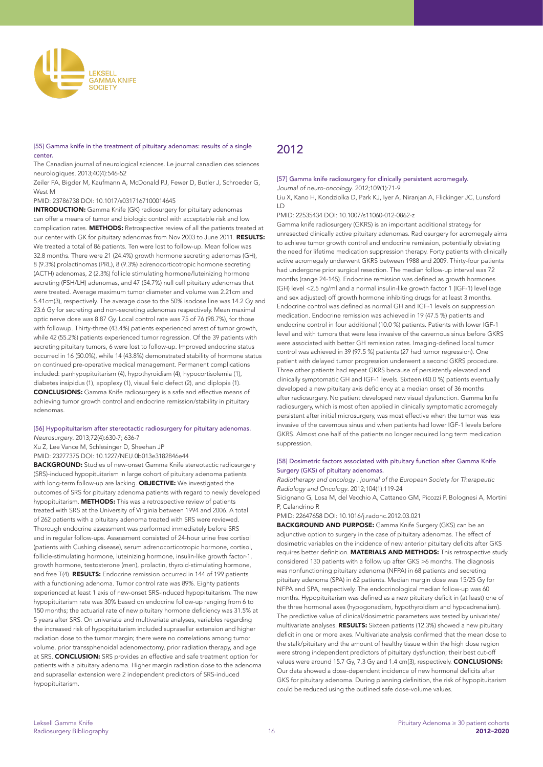

# [55] Gamma knife in the treatment of pituitary adenomas: results of a single center.

The Canadian journal of neurological sciences. Le journal canadien des sciences neurologiques. 2013;40(4):546-52

Zeiler FA, Bigder M, Kaufmann A, McDonald PJ, Fewer D, Butler J, Schroeder G, West M

#### PMID: 23786738 DOI: 10.1017/s0317167100014645

**INTRODUCTION:** Gamma Knife (GK) radiosurgery for pituitary adenomas can offer a means of tumor and biologic control with acceptable risk and low complication rates. METHODS: Retrospective review of all the patients treated at our center with GK for pituitary adenomas from Nov 2003 to June 2011. RESULTS: We treated a total of 86 patients. Ten were lost to follow-up. Mean follow was 32.8 months. There were 21 (24.4%) growth hormone secreting adenomas (GH), 8 (9.3%) prolactinomas (PRL), 8 (9.3%) adrenocorticotropic hormone secreting (ACTH) adenomas, 2 (2.3%) follicle stimulating hormone/luteinizing hormone secreting (FSH/LH) adenomas, and 47 (54.7%) null cell pituitary adenomas that were treated. Average maximum tumor diameter and volume was 2.21cm and 5.41cm(3), respectively. The average dose to the 50% isodose line was 14.2 Gy and 23.6 Gy for secreting and non-secreting adenomas respectively. Mean maximal optic nerve dose was 8.87 Gy. Local control rate was 75 of 76 (98.7%), for those with followup. Thirty-three (43.4%) patients experienced arrest of tumor growth, while 42 (55.2%) patients experienced tumor regression. Of the 39 patients with secreting pituitary tumors, 6 were lost to follow-up. Improved endocrine status occurred in 16 (50.0%), while 14 (43.8%) demonstrated stability of hormone status on continued pre-operative medical management. Permanent complications included: panhypopituitarism (4), hypothyroidism (4), hypocortisolemia (1), diabetes insipidus (1), apoplexy (1), visual field defect (2), and diplopia (1). CONCLUSIONS: Gamma Knife radiosurgery is a safe and effective means of achieving tumor growth control and endocrine remission/stability in pituitary adenomas.

# [56] Hypopituitarism after stereotactic radiosurgery for pituitary adenomas.

*Neurosurgery*. 2013;72(4):630-7; 636-7

Xu Z, Lee Vance M, Schlesinger D, Sheehan JP

PMID: 23277375 DOI: 10.1227/NEU.0b013e3182846e44

BACKGROUND: Studies of new-onset Gamma Knife stereotactic radiosurgery (SRS)-induced hypopituitarism in large cohort of pituitary adenoma patients with long-term follow-up are lacking. OBJECTIVE: We investigated the outcomes of SRS for pituitary adenoma patients with regard to newly developed hypopituitarism. METHODS: This was a retrospective review of patients treated with SRS at the University of Virginia between 1994 and 2006. A total of 262 patients with a pituitary adenoma treated with SRS were reviewed. Thorough endocrine assessment was performed immediately before SRS and in regular follow-ups. Assessment consisted of 24-hour urine free cortisol (patients with Cushing disease), serum adrenocorticotropic hormone, cortisol, follicle-stimulating hormone, luteinizing hormone, insulin-like growth factor-1, growth hormone, testosterone (men), prolactin, thyroid-stimulating hormone, and free T(4). RESULTS: Endocrine remission occurred in 144 of 199 patients with a functioning adenoma. Tumor control rate was 89%. Eighty patients experienced at least 1 axis of new-onset SRS-induced hypopituitarism. The new hypopituitarism rate was 30% based on endocrine follow-up ranging from 6 to 150 months; the actuarial rate of new pituitary hormone deficiency was 31.5% at 5 years after SRS. On univariate and multivariate analyses, variables regarding the increased risk of hypopituitarism included suprasellar extension and higher radiation dose to the tumor margin; there were no correlations among tumor volume, prior transsphenoidal adenomectomy, prior radiation therapy, and age at SRS. CONCLUSION: SRS provides an effective and safe treatment option for patients with a pituitary adenoma. Higher margin radiation dose to the adenoma and suprasellar extension were 2 independent predictors of SRS-induced hypopituitarism.

# 2012

# [57] Gamma knife radiosurgery for clinically persistent acromegaly.

*Journal of neuro-oncology*. 2012;109(1):71-9

Liu X, Kano H, Kondziolka D, Park KJ, Iyer A, Niranjan A, Flickinger JC, Lunsford LD

PMID: 22535434 DOI: 10.1007/s11060-012-0862-z

Gamma knife radiosurgery (GKRS) is an important additional strategy for unresected clinically active pituitary adenomas. Radiosurgery for acromegaly aims to achieve tumor growth control and endocrine remission, potentially obviating the need for lifetime medication suppression therapy. Forty patients with clinically active acromegaly underwent GKRS between 1988 and 2009. Thirty-four patients had undergone prior surgical resection. The median follow-up interval was 72 months (range 24-145). Endocrine remission was defined as growth hormones (GH) level <2.5 ng/ml and a normal insulin-like growth factor 1 (IGF-1) level (age and sex adjusted) off growth hormone inhibiting drugs for at least 3 months. Endocrine control was defined as normal GH and IGF-1 levels on suppression medication. Endocrine remission was achieved in 19 (47.5 %) patients and endocrine control in four additional (10.0 %) patients. Patients with lower IGF-1 level and with tumors that were less invasive of the cavernous sinus before GKRS were associated with better GH remission rates. Imaging-defined local tumor control was achieved in 39 (97.5 %) patients (27 had tumor regression). One patient with delayed tumor progression underwent a second GKRS procedure. Three other patients had repeat GKRS because of persistently elevated and clinically symptomatic GH and IGF-1 levels. Sixteen (40.0 %) patients eventually developed a new pituitary axis deficiency at a median onset of 36 months after radiosurgery. No patient developed new visual dysfunction. Gamma knife radiosurgery, which is most often applied in clinically symptomatic acromegaly persistent after initial microsurgery, was most effective when the tumor was less invasive of the cavernous sinus and when patients had lower IGF-1 levels before GKRS. Almost one half of the patients no longer required long term medication suppression.

### [58] Dosimetric factors associated with pituitary function after Gamma Knife Surgery (GKS) of pituitary adenomas.

*Radiotherapy and oncology : journal of the European Society for Therapeutic Radiology and Oncology*. 2012;104(1):119-24

Sicignano G, Losa M, del Vecchio A, Cattaneo GM, Picozzi P, Bolognesi A, Mortini P, Calandrino R

PMID: 22647658 DOI: 10.1016/j.radonc.2012.03.021

BACKGROUND AND PURPOSE: Gamma Knife Surgery (GKS) can be an adjunctive option to surgery in the case of pituitary adenomas. The effect of dosimetric variables on the incidence of new anterior pituitary deficits after GKS requires better definition. MATERIALS AND METHODS: This retrospective study considered 130 patients with a follow up after GKS >6 months. The diagnosis was nonfunctioning pituitary adenoma (NFPA) in 68 patients and secreting pituitary adenoma (SPA) in 62 patients. Median margin dose was 15/25 Gy for NFPA and SPA, respectively. The endocrinological median follow-up was 60 months. Hypopituitarism was defined as a new pituitary deficit in (at least) one of the three hormonal axes (hypogonadism, hypothyroidism and hypoadrenalism). The predictive value of clinical/dosimetric parameters was tested by univariate/ multivariate analyses. RESULTS: Sixteen patients (12.3%) showed a new pituitary deficit in one or more axes. Multivariate analysis confirmed that the mean dose to the stalk/pituitary and the amount of healthy tissue within the high dose region were strong independent predictors of pituitary dysfunction; their best cut-off values were around 15.7 Gy, 7.3 Gy and 1.4 cm(3), respectively. **CONCLUSIONS:** Our data showed a dose-dependent incidence of new hormonal deficits after GKS for pituitary adenoma. During planning definition, the risk of hypopituitarism could be reduced using the outlined safe dose-volume values.